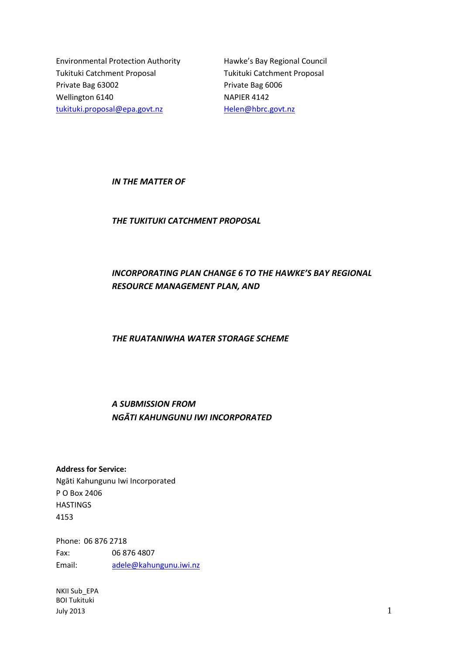Environmental Protection Authority Hawke's Bay Regional Council Tukituki Catchment Proposal Tukituki Catchment Proposal Private Bag 63002 Private Bag 6006 Wellington 6140 NAPIER 4142 [tukituki.proposal@epa.govt.nz](mailto:tukituki.proposal@epa.govt.nz) [Helen@hbrc.govt.nz](mailto:Helen@hbrc.govt.nz)

*IN THE MATTER OF*

*THE TUKITUKI CATCHMENT PROPOSAL*

# *INCORPORATING PLAN CHANGE 6 TO THE HAWKE'S BAY REGIONAL RESOURCE MANAGEMENT PLAN, AND*

*THE RUATANIWHA WATER STORAGE SCHEME*

# *A SUBMISSION FROM NGĀTI KAHUNGUNU IWI INCORPORATED*

**Address for Service:** Ngāti Kahungunu Iwi Incorporated P O Box 2406 **HASTINGS** 4153

Phone: 06 876 2718 Fax: 06 876 4807 Email: [adele@kahungunu.iwi.nz](mailto:adele@kahungunu.iwi.nz)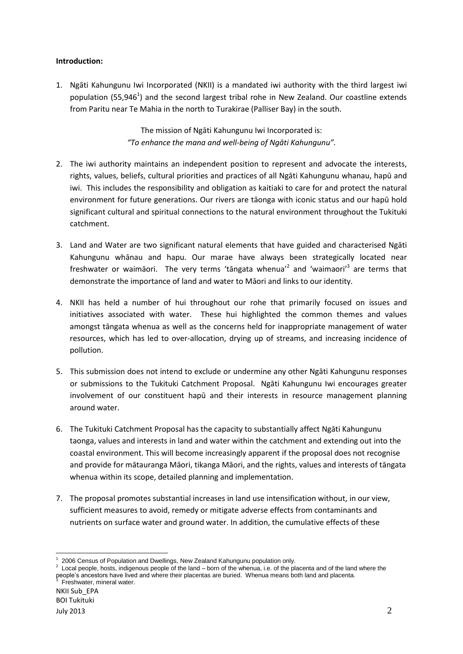# **Introduction:**

1. Ngāti Kahungunu Iwi Incorporated (NKII) is a mandated iwi authority with the third largest iwi population (55,946<sup>1</sup>) and the second largest tribal rohe in New Zealand. Our coastline extends from Paritu near Te Mahia in the north to Turakirae (Palliser Bay) in the south.

> The mission of Ngāti Kahungunu Iwi Incorporated is: *"To enhance the mana and well-being of Ngāti Kahungunu".*

- 2. The iwi authority maintains an independent position to represent and advocate the interests, rights, values, beliefs, cultural priorities and practices of all Ngāti Kahungunu whanau, hapū and iwi. This includes the responsibility and obligation as kaitiaki to care for and protect the natural environment for future generations. Our rivers are tāonga with iconic status and our hapū hold significant cultural and spiritual connections to the natural environment throughout the Tukituki catchment.
- 3. Land and Water are two significant natural elements that have guided and characterised Ngāti Kahungunu whānau and hapu. Our marae have always been strategically located near freshwater or waimāori. The very terms 'tāngata whenua'<sup>2</sup> and 'waimaori'<sup>3</sup> are terms that demonstrate the importance of land and water to Māori and links to our identity.
- 4. NKII has held a number of hui throughout our rohe that primarily focused on issues and initiatives associated with water. These hui highlighted the common themes and values amongst tāngata whenua as well as the concerns held for inappropriate management of water resources, which has led to over-allocation, drying up of streams, and increasing incidence of pollution.
- 5. This submission does not intend to exclude or undermine any other Ngāti Kahungunu responses or submissions to the Tukituki Catchment Proposal. Ngāti Kahungunu Iwi encourages greater involvement of our constituent hapū and their interests in resource management planning around water.
- 6. The Tukituki Catchment Proposal has the capacity to substantially affect Ngāti Kahungunu taonga, values and interests in land and water within the catchment and extending out into the coastal environment. This will become increasingly apparent if the proposal does not recognise and provide for mātauranga Māori, tikanga Māori, and the rights, values and interests of tāngata whenua within its scope, detailed planning and implementation.
- 7. The proposal promotes substantial increases in land use intensification without, in our view, sufficient measures to avoid, remedy or mitigate adverse effects from contaminants and nutrients on surface water and ground water. In addition, the cumulative effects of these

**<sup>.</sup>** 1 2006 Census of Population and Dwellings, New Zealand Kahungunu population only.

 $2$  Local people, hosts, indigenous people of the land – born of the whenua, i.e. of the placenta and of the land where the people's ancestors have lived and where their placentas are buried. Whenua means both land and placenta.<br><sup>3</sup> Exabugter, mineral unter Freshwater, mineral water.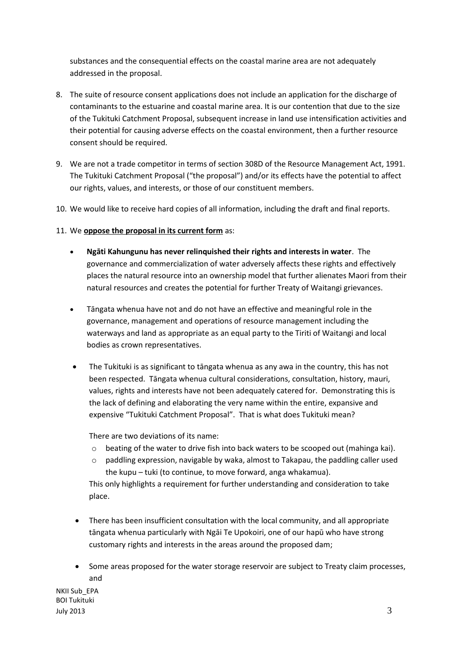substances and the consequential effects on the coastal marine area are not adequately addressed in the proposal.

- 8. The suite of resource consent applications does not include an application for the discharge of contaminants to the estuarine and coastal marine area. It is our contention that due to the size of the Tukituki Catchment Proposal, subsequent increase in land use intensification activities and their potential for causing adverse effects on the coastal environment, then a further resource consent should be required.
- 9. We are not a trade competitor in terms of section 308D of the Resource Management Act, 1991. The Tukituki Catchment Proposal ("the proposal") and/or its effects have the potential to affect our rights, values, and interests, or those of our constituent members.
- 10. We would like to receive hard copies of all information, including the draft and final reports.
- 11. We **oppose the proposal in its current form** as:
	- **Ngāti Kahungunu has never relinquished their rights and interests in water**. The governance and commercialization of water adversely affects these rights and effectively places the natural resource into an ownership model that further alienates Maori from their natural resources and creates the potential for further Treaty of Waitangi grievances.
	- Tāngata whenua have not and do not have an effective and meaningful role in the governance, management and operations of resource management including the waterways and land as appropriate as an equal party to the Tiriti of Waitangi and local bodies as crown representatives.
	- The Tukituki is as significant to tāngata whenua as any awa in the country, this has not been respected. Tāngata whenua cultural considerations, consultation, history, mauri, values, rights and interests have not been adequately catered for. Demonstrating this is the lack of defining and elaborating the very name within the entire, expansive and expensive "Tukituki Catchment Proposal". That is what does Tukituki mean?

There are two deviations of its name:

- o beating of the water to drive fish into back waters to be scooped out (mahinga kai).
- o paddling expression, navigable by waka, almost to Takapau, the paddling caller used the kupu – tuki (to continue, to move forward, anga whakamua).

This only highlights a requirement for further understanding and consideration to take place.

- There has been insufficient consultation with the local community, and all appropriate tāngata whenua particularly with Ngāi Te Upokoiri, one of our hapū who have strong customary rights and interests in the areas around the proposed dam;
- Some areas proposed for the water storage reservoir are subject to Treaty claim processes, and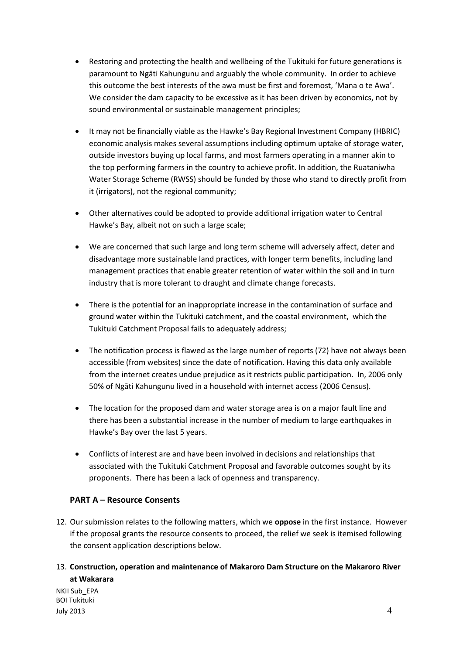- Restoring and protecting the health and wellbeing of the Tukituki for future generations is paramount to Ngāti Kahungunu and arguably the whole community. In order to achieve this outcome the best interests of the awa must be first and foremost, 'Mana o te Awa'. We consider the dam capacity to be excessive as it has been driven by economics, not by sound environmental or sustainable management principles;
- It may not be financially viable as the Hawke's Bay Regional Investment Company (HBRIC) economic analysis makes several assumptions including optimum uptake of storage water, outside investors buying up local farms, and most farmers operating in a manner akin to the top performing farmers in the country to achieve profit. In addition, the Ruataniwha Water Storage Scheme (RWSS) should be funded by those who stand to directly profit from it (irrigators), not the regional community;
- Other alternatives could be adopted to provide additional irrigation water to Central Hawke's Bay, albeit not on such a large scale;
- We are concerned that such large and long term scheme will adversely affect, deter and disadvantage more sustainable land practices, with longer term benefits, including land management practices that enable greater retention of water within the soil and in turn industry that is more tolerant to draught and climate change forecasts.
- There is the potential for an inappropriate increase in the contamination of surface and ground water within the Tukituki catchment, and the coastal environment, which the Tukituki Catchment Proposal fails to adequately address;
- The notification process is flawed as the large number of reports (72) have not always been accessible (from websites) since the date of notification. Having this data only available from the internet creates undue prejudice as it restricts public participation. In, 2006 only 50% of Ngāti Kahungunu lived in a household with internet access (2006 Census).
- The location for the proposed dam and water storage area is on a major fault line and there has been a substantial increase in the number of medium to large earthquakes in Hawke's Bay over the last 5 years.
- Conflicts of interest are and have been involved in decisions and relationships that associated with the Tukituki Catchment Proposal and favorable outcomes sought by its proponents. There has been a lack of openness and transparency.

# **PART A – Resource Consents**

- 12. Our submission relates to the following matters, which we **oppose** in the first instance. However if the proposal grants the resource consents to proceed, the relief we seek is itemised following the consent application descriptions below.
- 13. **Construction, operation and maintenance of Makaroro Dam Structure on the Makaroro River at Wakarara**

NKII Sub\_EPA BOI Tukituki July 2013  $\sim$  4  $\sim$  4  $\sim$  4  $\sim$  4  $\sim$  4  $\sim$  4  $\sim$  4  $\sim$  4  $\sim$  4  $\sim$  4  $\sim$  4  $\sim$  4  $\sim$  4  $\sim$  4  $\sim$  4  $\sim$  4  $\sim$  4  $\sim$  4  $\sim$  4  $\sim$  4  $\sim$  4  $\sim$  4  $\sim$  4  $\sim$  4  $\sim$  4  $\sim$  4  $\sim$  4  $\sim$  4  $\sim$  4  $\sim$  4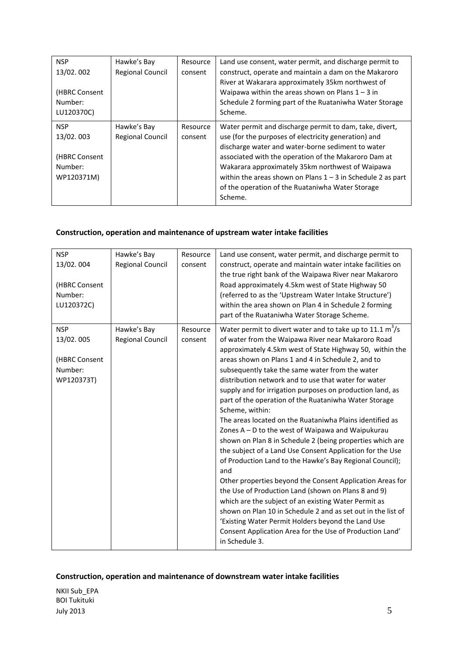| <b>NSP</b><br>13/02.002<br>(HBRC Consent<br>Number:<br>LU120370C) | Hawke's Bay<br><b>Regional Council</b> | Resource<br>consent | Land use consent, water permit, and discharge permit to<br>construct, operate and maintain a dam on the Makaroro<br>River at Wakarara approximately 35km northwest of<br>Waipawa within the areas shown on Plans $1 - 3$ in<br>Schedule 2 forming part of the Ruataniwha Water Storage<br>Scheme.                                                                                                                |
|-------------------------------------------------------------------|----------------------------------------|---------------------|------------------------------------------------------------------------------------------------------------------------------------------------------------------------------------------------------------------------------------------------------------------------------------------------------------------------------------------------------------------------------------------------------------------|
| <b>NSP</b><br>13/02.003<br>(HBRC Consent<br>Number:<br>WP120371M) | Hawke's Bay<br><b>Regional Council</b> | Resource<br>consent | Water permit and discharge permit to dam, take, divert,<br>use (for the purposes of electricity generation) and<br>discharge water and water-borne sediment to water<br>associated with the operation of the Makaroro Dam at<br>Wakarara approximately 35km northwest of Waipawa<br>within the areas shown on Plans $1 - 3$ in Schedule 2 as part<br>of the operation of the Ruataniwha Water Storage<br>Scheme. |

# **Construction, operation and maintenance of upstream water intake facilities**

| <b>NSP</b><br>13/02.004<br>(HBRC Consent<br>Number:<br>LU120372C) | Hawke's Bay<br><b>Regional Council</b> | Resource<br>consent | Land use consent, water permit, and discharge permit to<br>construct, operate and maintain water intake facilities on<br>the true right bank of the Waipawa River near Makaroro<br>Road approximately 4.5km west of State Highway 50<br>(referred to as the 'Upstream Water Intake Structure')<br>within the area shown on Plan 4 in Schedule 2 forming<br>part of the Ruataniwha Water Storage Scheme.                                                                                                                                                                                                                                                                                                                                                                                                                                                                                                                                                                                                                                                                                                                                                                                 |
|-------------------------------------------------------------------|----------------------------------------|---------------------|-----------------------------------------------------------------------------------------------------------------------------------------------------------------------------------------------------------------------------------------------------------------------------------------------------------------------------------------------------------------------------------------------------------------------------------------------------------------------------------------------------------------------------------------------------------------------------------------------------------------------------------------------------------------------------------------------------------------------------------------------------------------------------------------------------------------------------------------------------------------------------------------------------------------------------------------------------------------------------------------------------------------------------------------------------------------------------------------------------------------------------------------------------------------------------------------|
| <b>NSP</b><br>13/02.005<br>(HBRC Consent<br>Number:<br>WP120373T) | Hawke's Bay<br><b>Regional Council</b> | Resource<br>consent | Water permit to divert water and to take up to 11.1 $m^3/s$<br>of water from the Waipawa River near Makaroro Road<br>approximately 4.5km west of State Highway 50, within the<br>areas shown on Plans 1 and 4 in Schedule 2, and to<br>subsequently take the same water from the water<br>distribution network and to use that water for water<br>supply and for irrigation purposes on production land, as<br>part of the operation of the Ruataniwha Water Storage<br>Scheme, within:<br>The areas located on the Ruataniwha Plains identified as<br>Zones $A - D$ to the west of Waipawa and Waipukurau<br>shown on Plan 8 in Schedule 2 (being properties which are<br>the subject of a Land Use Consent Application for the Use<br>of Production Land to the Hawke's Bay Regional Council);<br>and<br>Other properties beyond the Consent Application Areas for<br>the Use of Production Land (shown on Plans 8 and 9)<br>which are the subject of an existing Water Permit as<br>shown on Plan 10 in Schedule 2 and as set out in the list of<br>'Existing Water Permit Holders beyond the Land Use<br>Consent Application Area for the Use of Production Land'<br>in Schedule 3. |

# **Construction, operation and maintenance of downstream water intake facilities**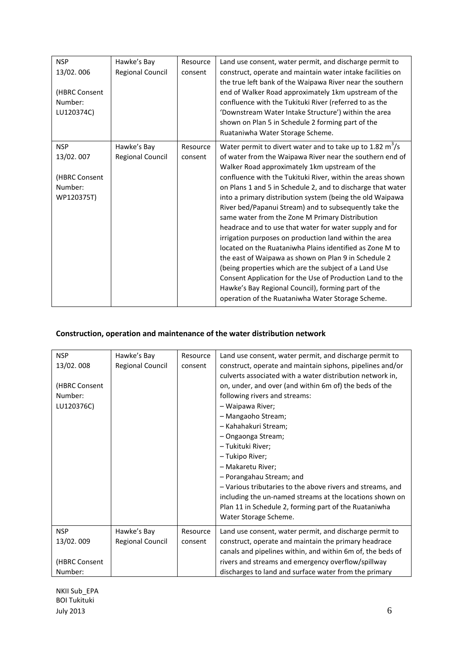| <b>NSP</b>    | Hawke's Bay             | Resource | Land use consent, water permit, and discharge permit to     |
|---------------|-------------------------|----------|-------------------------------------------------------------|
| 13/02.006     | <b>Regional Council</b> | consent  | construct, operate and maintain water intake facilities on  |
|               |                         |          | the true left bank of the Waipawa River near the southern   |
| (HBRC Consent |                         |          | end of Walker Road approximately 1km upstream of the        |
| Number:       |                         |          | confluence with the Tukituki River (referred to as the      |
| LU120374C)    |                         |          | 'Downstream Water Intake Structure') within the area        |
|               |                         |          | shown on Plan 5 in Schedule 2 forming part of the           |
|               |                         |          | Ruataniwha Water Storage Scheme.                            |
| <b>NSP</b>    | Hawke's Bay             | Resource | Water permit to divert water and to take up to 1.82 $m^3/s$ |
| 13/02.007     | <b>Regional Council</b> | consent  | of water from the Waipawa River near the southern end of    |
|               |                         |          | Walker Road approximately 1km upstream of the               |
| (HBRC Consent |                         |          | confluence with the Tukituki River, within the areas shown  |
| Number:       |                         |          | on Plans 1 and 5 in Schedule 2, and to discharge that water |
| WP120375T)    |                         |          | into a primary distribution system (being the old Waipawa   |
|               |                         |          | River bed/Papanui Stream) and to subsequently take the      |
|               |                         |          | same water from the Zone M Primary Distribution             |
|               |                         |          | headrace and to use that water for water supply and for     |
|               |                         |          | irrigation purposes on production land within the area      |
|               |                         |          | located on the Ruataniwha Plains identified as Zone M to    |
|               |                         |          | the east of Waipawa as shown on Plan 9 in Schedule 2        |
|               |                         |          | (being properties which are the subject of a Land Use       |
|               |                         |          | Consent Application for the Use of Production Land to the   |
|               |                         |          | Hawke's Bay Regional Council), forming part of the          |
|               |                         |          | operation of the Ruataniwha Water Storage Scheme.           |
|               |                         |          |                                                             |

# **Construction, operation and maintenance of the water distribution network**

| <b>NSP</b><br>13/02.008<br>(HBRC Consent<br>Number:<br>LU120376C) | Hawke's Bay<br><b>Regional Council</b> | Resource<br>consent | Land use consent, water permit, and discharge permit to<br>construct, operate and maintain siphons, pipelines and/or<br>culverts associated with a water distribution network in,<br>on, under, and over (and within 6m of) the beds of the<br>following rivers and streams:<br>- Waipawa River;<br>- Mangaoho Stream;<br>- Kahahakuri Stream;<br>- Ongaonga Stream;<br>- Tukituki River;<br>- Tukipo River;<br>- Makaretu River;<br>- Porangahau Stream; and<br>- Various tributaries to the above rivers and streams, and<br>including the un-named streams at the locations shown on<br>Plan 11 in Schedule 2, forming part of the Ruataniwha<br>Water Storage Scheme. |
|-------------------------------------------------------------------|----------------------------------------|---------------------|---------------------------------------------------------------------------------------------------------------------------------------------------------------------------------------------------------------------------------------------------------------------------------------------------------------------------------------------------------------------------------------------------------------------------------------------------------------------------------------------------------------------------------------------------------------------------------------------------------------------------------------------------------------------------|
| <b>NSP</b>                                                        | Hawke's Bay                            | Resource            | Land use consent, water permit, and discharge permit to                                                                                                                                                                                                                                                                                                                                                                                                                                                                                                                                                                                                                   |
| 13/02.009                                                         | Regional Council                       | consent             | construct, operate and maintain the primary headrace                                                                                                                                                                                                                                                                                                                                                                                                                                                                                                                                                                                                                      |
|                                                                   |                                        |                     | canals and pipelines within, and within 6m of, the beds of                                                                                                                                                                                                                                                                                                                                                                                                                                                                                                                                                                                                                |
| (HBRC Consent                                                     |                                        |                     | rivers and streams and emergency overflow/spillway                                                                                                                                                                                                                                                                                                                                                                                                                                                                                                                                                                                                                        |
| Number:                                                           |                                        |                     | discharges to land and surface water from the primary                                                                                                                                                                                                                                                                                                                                                                                                                                                                                                                                                                                                                     |

NKII Sub\_EPA BOI Tukituki July 2013  $\qquad \qquad 6$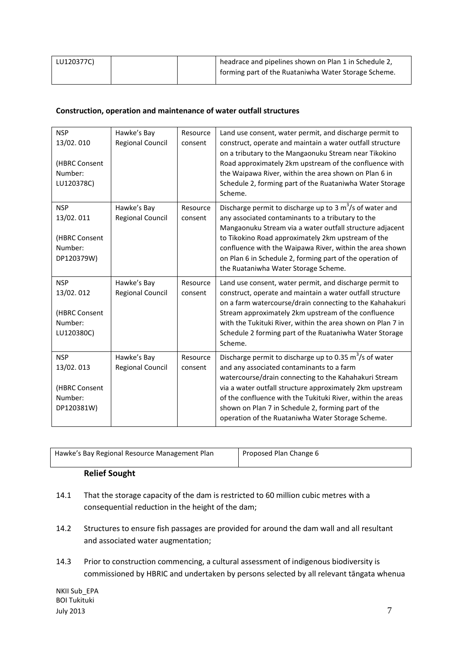| LU120377C) |  | headrace and pipelines shown on Plan 1 in Schedule 2, |
|------------|--|-------------------------------------------------------|
|            |  | forming part of the Ruataniwha Water Storage Scheme.  |

# **Construction, operation and maintenance of water outfall structures**

| <b>NSP</b><br>13/02.010<br>(HBRC Consent<br>Number:<br>LU120378C) | Hawke's Bay<br><b>Regional Council</b> | Resource<br>consent | Land use consent, water permit, and discharge permit to<br>construct, operate and maintain a water outfall structure<br>on a tributary to the Mangaonuku Stream near Tikokino<br>Road approximately 2km upstream of the confluence with<br>the Waipawa River, within the area shown on Plan 6 in<br>Schedule 2, forming part of the Ruataniwha Water Storage<br>Scheme.                                             |
|-------------------------------------------------------------------|----------------------------------------|---------------------|---------------------------------------------------------------------------------------------------------------------------------------------------------------------------------------------------------------------------------------------------------------------------------------------------------------------------------------------------------------------------------------------------------------------|
| <b>NSP</b><br>13/02.011<br>(HBRC Consent<br>Number:<br>DP120379W) | Hawke's Bay<br><b>Regional Council</b> | Resource<br>consent | Discharge permit to discharge up to 3 $m^3/s$ of water and<br>any associated contaminants to a tributary to the<br>Mangaonuku Stream via a water outfall structure adjacent<br>to Tikokino Road approximately 2km upstream of the<br>confluence with the Waipawa River, within the area shown<br>on Plan 6 in Schedule 2, forming part of the operation of<br>the Ruataniwha Water Storage Scheme.                  |
| <b>NSP</b><br>13/02.012<br>(HBRC Consent<br>Number:<br>LU120380C) | Hawke's Bay<br><b>Regional Council</b> | Resource<br>consent | Land use consent, water permit, and discharge permit to<br>construct, operate and maintain a water outfall structure<br>on a farm watercourse/drain connecting to the Kahahakuri<br>Stream approximately 2km upstream of the confluence<br>with the Tukituki River, within the area shown on Plan 7 in<br>Schedule 2 forming part of the Ruataniwha Water Storage<br>Scheme.                                        |
| <b>NSP</b><br>13/02.013<br>(HBRC Consent<br>Number:<br>DP120381W) | Hawke's Bay<br><b>Regional Council</b> | Resource<br>consent | Discharge permit to discharge up to 0.35 $\text{m}^3/\text{s}$ of water<br>and any associated contaminants to a farm<br>watercourse/drain connecting to the Kahahakuri Stream<br>via a water outfall structure approximately 2km upstream<br>of the confluence with the Tukituki River, within the areas<br>shown on Plan 7 in Schedule 2, forming part of the<br>operation of the Ruataniwha Water Storage Scheme. |

| Hawke's Bay Regional Resource Management Plan | Proposed Plan Change 6 |
|-----------------------------------------------|------------------------|
|-----------------------------------------------|------------------------|

# **Relief Sought**

- 14.1 That the storage capacity of the dam is restricted to 60 million cubic metres with a consequential reduction in the height of the dam;
- 14.2 Structures to ensure fish passages are provided for around the dam wall and all resultant and associated water augmentation;
- 14.3 Prior to construction commencing, a cultural assessment of indigenous biodiversity is commissioned by HBRIC and undertaken by persons selected by all relevant tāngata whenua

NKII Sub\_EPA BOI Tukituki July 2013  $\qquad \qquad \qquad$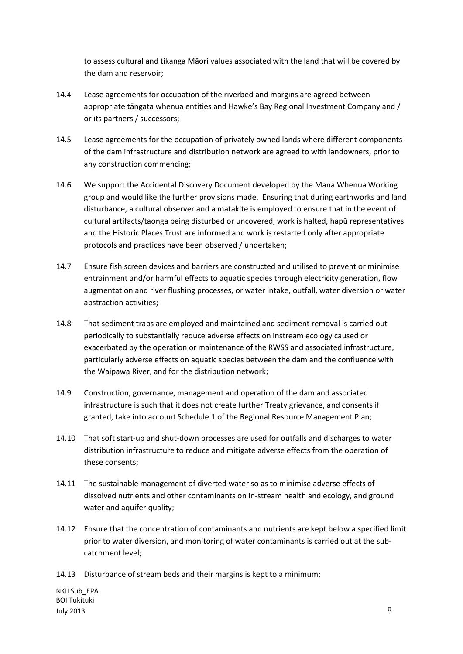to assess cultural and tikanga Māori values associated with the land that will be covered by the dam and reservoir;

- 14.4 Lease agreements for occupation of the riverbed and margins are agreed between appropriate tāngata whenua entities and Hawke's Bay Regional Investment Company and / or its partners / successors;
- 14.5 Lease agreements for the occupation of privately owned lands where different components of the dam infrastructure and distribution network are agreed to with landowners, prior to any construction commencing;
- 14.6 We support the Accidental Discovery Document developed by the Mana Whenua Working group and would like the further provisions made. Ensuring that during earthworks and land disturbance, a cultural observer and a matakite is employed to ensure that in the event of cultural artifacts/taonga being disturbed or uncovered, work is halted, hapū representatives and the Historic Places Trust are informed and work is restarted only after appropriate protocols and practices have been observed / undertaken;
- 14.7 Ensure fish screen devices and barriers are constructed and utilised to prevent or minimise entrainment and/or harmful effects to aquatic species through electricity generation, flow augmentation and river flushing processes, or water intake, outfall, water diversion or water abstraction activities;
- 14.8 That sediment traps are employed and maintained and sediment removal is carried out periodically to substantially reduce adverse effects on instream ecology caused or exacerbated by the operation or maintenance of the RWSS and associated infrastructure, particularly adverse effects on aquatic species between the dam and the confluence with the Waipawa River, and for the distribution network;
- 14.9 Construction, governance, management and operation of the dam and associated infrastructure is such that it does not create further Treaty grievance, and consents if granted, take into account Schedule 1 of the Regional Resource Management Plan;
- 14.10 That soft start-up and shut-down processes are used for outfalls and discharges to water distribution infrastructure to reduce and mitigate adverse effects from the operation of these consents;
- 14.11 The sustainable management of diverted water so as to minimise adverse effects of dissolved nutrients and other contaminants on in-stream health and ecology, and ground water and aquifer quality:
- 14.12 Ensure that the concentration of contaminants and nutrients are kept below a specified limit prior to water diversion, and monitoring of water contaminants is carried out at the subcatchment level;

14.13 Disturbance of stream beds and their margins is kept to a minimum;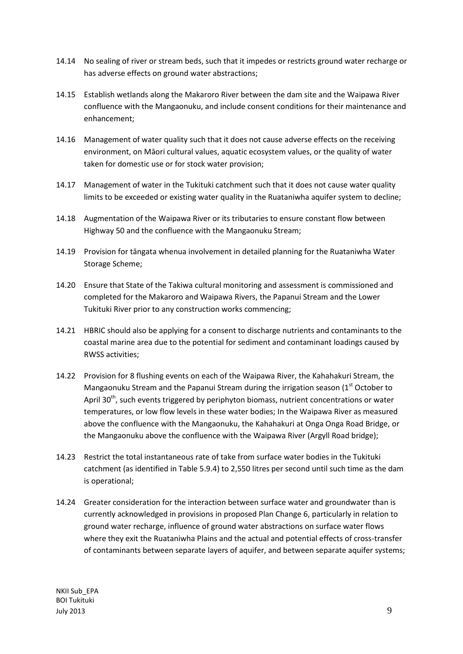- 14.14 No sealing of river or stream beds, such that it impedes or restricts ground water recharge or has adverse effects on ground water abstractions;
- 14.15 Establish wetlands along the Makaroro River between the dam site and the Waipawa River confluence with the Mangaonuku, and include consent conditions for their maintenance and enhancement;
- 14.16 Management of water quality such that it does not cause adverse effects on the receiving environment, on Māori cultural values, aquatic ecosystem values, or the quality of water taken for domestic use or for stock water provision;
- 14.17 Management of water in the Tukituki catchment such that it does not cause water quality limits to be exceeded or existing water quality in the Ruataniwha aquifer system to decline;
- 14.18 Augmentation of the Waipawa River or its tributaries to ensure constant flow between Highway 50 and the confluence with the Mangaonuku Stream;
- 14.19 Provision for tāngata whenua involvement in detailed planning for the Ruataniwha Water Storage Scheme;
- 14.20 Ensure that State of the Takiwa cultural monitoring and assessment is commissioned and completed for the Makaroro and Waipawa Rivers, the Papanui Stream and the Lower Tukituki River prior to any construction works commencing;
- 14.21 HBRIC should also be applying for a consent to discharge nutrients and contaminants to the coastal marine area due to the potential for sediment and contaminant loadings caused by RWSS activities;
- 14.22 Provision for 8 flushing events on each of the Waipawa River, the Kahahakuri Stream, the Mangaonuku Stream and the Papanui Stream during the irrigation season (1st October to April 30<sup>th</sup>, such events triggered by periphyton biomass, nutrient concentrations or water temperatures, or low flow levels in these water bodies; In the Waipawa River as measured above the confluence with the Mangaonuku, the Kahahakuri at Onga Onga Road Bridge, or the Mangaonuku above the confluence with the Waipawa River (Argyll Road bridge);
- 14.23 Restrict the total instantaneous rate of take from surface water bodies in the Tukituki catchment (as identified in Table 5.9.4) to 2,550 litres per second until such time as the dam is operational;
- 14.24 Greater consideration for the interaction between surface water and groundwater than is currently acknowledged in provisions in proposed Plan Change 6, particularly in relation to ground water recharge, influence of ground water abstractions on surface water flows where they exit the Ruataniwha Plains and the actual and potential effects of cross-transfer of contaminants between separate layers of aquifer, and between separate aquifer systems;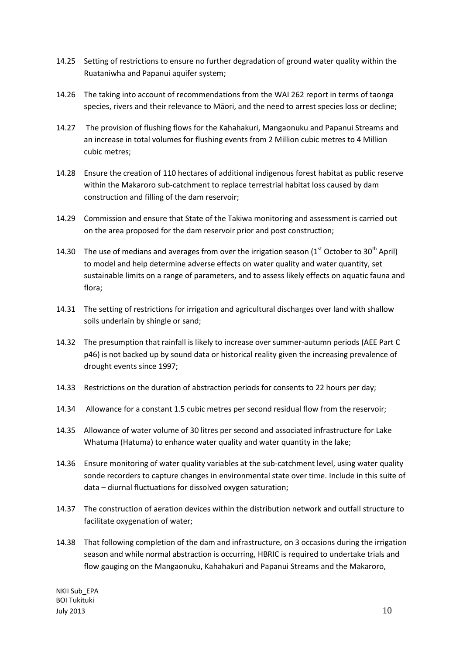- 14.25 Setting of restrictions to ensure no further degradation of ground water quality within the Ruataniwha and Papanui aquifer system;
- 14.26 The taking into account of recommendations from the WAI 262 report in terms of taonga species, rivers and their relevance to Māori, and the need to arrest species loss or decline;
- 14.27 The provision of flushing flows for the Kahahakuri, Mangaonuku and Papanui Streams and an increase in total volumes for flushing events from 2 Million cubic metres to 4 Million cubic metres;
- 14.28 Ensure the creation of 110 hectares of additional indigenous forest habitat as public reserve within the Makaroro sub-catchment to replace terrestrial habitat loss caused by dam construction and filling of the dam reservoir;
- 14.29 Commission and ensure that State of the Takiwa monitoring and assessment is carried out on the area proposed for the dam reservoir prior and post construction;
- 14.30 The use of medians and averages from over the irrigation season ( $1<sup>st</sup>$  October to 30<sup>th</sup> April) to model and help determine adverse effects on water quality and water quantity, set sustainable limits on a range of parameters, and to assess likely effects on aquatic fauna and flora;
- 14.31 The setting of restrictions for irrigation and agricultural discharges over land with shallow soils underlain by shingle or sand;
- 14.32 The presumption that rainfall is likely to increase over summer-autumn periods (AEE Part C p46) is not backed up by sound data or historical reality given the increasing prevalence of drought events since 1997;
- 14.33 Restrictions on the duration of abstraction periods for consents to 22 hours per day;
- 14.34 Allowance for a constant 1.5 cubic metres per second residual flow from the reservoir;
- 14.35 Allowance of water volume of 30 litres per second and associated infrastructure for Lake Whatuma (Hatuma) to enhance water quality and water quantity in the lake;
- 14.36 Ensure monitoring of water quality variables at the sub-catchment level, using water quality sonde recorders to capture changes in environmental state over time. Include in this suite of data – diurnal fluctuations for dissolved oxygen saturation;
- 14.37 The construction of aeration devices within the distribution network and outfall structure to facilitate oxygenation of water;
- 14.38 That following completion of the dam and infrastructure, on 3 occasions during the irrigation season and while normal abstraction is occurring, HBRIC is required to undertake trials and flow gauging on the Mangaonuku, Kahahakuri and Papanui Streams and the Makaroro,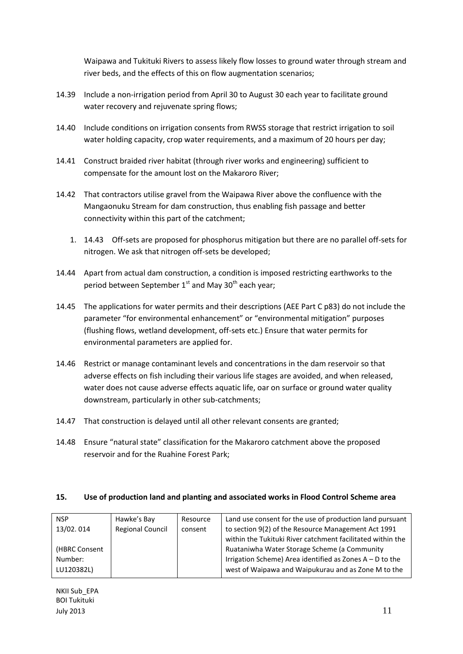Waipawa and Tukituki Rivers to assess likely flow losses to ground water through stream and river beds, and the effects of this on flow augmentation scenarios;

- 14.39 Include a non-irrigation period from April 30 to August 30 each year to facilitate ground water recovery and rejuvenate spring flows;
- 14.40 Include conditions on irrigation consents from RWSS storage that restrict irrigation to soil water holding capacity, crop water requirements, and a maximum of 20 hours per day;
- 14.41 Construct braided river habitat (through river works and engineering) sufficient to compensate for the amount lost on the Makaroro River;
- 14.42 That contractors utilise gravel from the Waipawa River above the confluence with the Mangaonuku Stream for dam construction, thus enabling fish passage and better connectivity within this part of the catchment;
	- 1. 14.43 Off-sets are proposed for phosphorus mitigation but there are no parallel off-sets for nitrogen. We ask that nitrogen off-sets be developed;
- 14.44 Apart from actual dam construction, a condition is imposed restricting earthworks to the period between September  $1<sup>st</sup>$  and May 30<sup>th</sup> each year;
- 14.45 The applications for water permits and their descriptions (AEE Part C p83) do not include the parameter "for environmental enhancement" or "environmental mitigation" purposes (flushing flows, wetland development, off-sets etc.) Ensure that water permits for environmental parameters are applied for.
- 14.46 Restrict or manage contaminant levels and concentrations in the dam reservoir so that adverse effects on fish including their various life stages are avoided, and when released, water does not cause adverse effects aquatic life, oar on surface or ground water quality downstream, particularly in other sub-catchments;
- 14.47 That construction is delayed until all other relevant consents are granted;
- 14.48 Ensure "natural state" classification for the Makaroro catchment above the proposed reservoir and for the Ruahine Forest Park;

#### **15. Use of production land and planting and associated works in Flood Control Scheme area**

| <b>NSP</b>    | Hawke's Bay             | Resource | Land use consent for the use of production land pursuant   |
|---------------|-------------------------|----------|------------------------------------------------------------|
| 13/02.014     | <b>Regional Council</b> | consent  | to section 9(2) of the Resource Management Act 1991        |
|               |                         |          | within the Tukituki River catchment facilitated within the |
| (HBRC Consent |                         |          | Ruataniwha Water Storage Scheme (a Community               |
| Number:       |                         |          | Irrigation Scheme) Area identified as Zones $A - D$ to the |
| LU120382L)    |                         |          | west of Waipawa and Waipukurau and as Zone M to the        |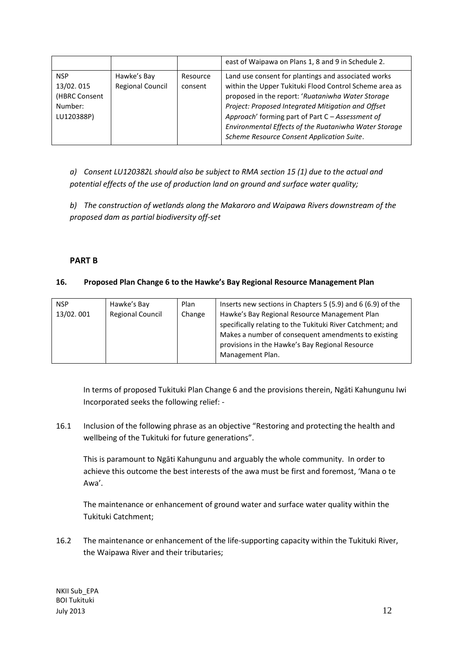|                                                                   |                                        |                     | east of Waipawa on Plans 1, 8 and 9 in Schedule 2.                                                                                                                                                                                                                                                                                                                                  |
|-------------------------------------------------------------------|----------------------------------------|---------------------|-------------------------------------------------------------------------------------------------------------------------------------------------------------------------------------------------------------------------------------------------------------------------------------------------------------------------------------------------------------------------------------|
| <b>NSP</b><br>13/02.015<br>(HBRC Consent<br>Number:<br>LU120388P) | Hawke's Bay<br><b>Regional Council</b> | Resource<br>consent | Land use consent for plantings and associated works<br>within the Upper Tukituki Flood Control Scheme area as<br>proposed in the report: 'Ruataniwha Water Storage<br>Project: Proposed Integrated Mitigation and Offset<br>Approach' forming part of Part C - Assessment of<br>Environmental Effects of the Ruataniwha Water Storage<br>Scheme Resource Consent Application Suite. |

*a) Consent LU120382L should also be subject to RMA section 15 (1) due to the actual and potential effects of the use of production land on ground and surface water quality;*

*b) The construction of wetlands along the Makaroro and Waipawa Rivers downstream of the proposed dam as partial biodiversity off-set*

# **PART B**

### **16. Proposed Plan Change 6 to the Hawke's Bay Regional Resource Management Plan**

| <b>NSP</b> | Hawke's Bay             | Plan   | Inserts new sections in Chapters 5 (5.9) and 6 (6.9) of the                                                                                                        |
|------------|-------------------------|--------|--------------------------------------------------------------------------------------------------------------------------------------------------------------------|
| 13/02.001  | <b>Regional Council</b> | Change | Hawke's Bay Regional Resource Management Plan<br>specifically relating to the Tukituki River Catchment; and<br>Makes a number of consequent amendments to existing |
|            |                         |        | provisions in the Hawke's Bay Regional Resource<br>Management Plan.                                                                                                |

In terms of proposed Tukituki Plan Change 6 and the provisions therein, Ngāti Kahungunu Iwi Incorporated seeks the following relief: -

16.1 Inclusion of the following phrase as an objective "Restoring and protecting the health and wellbeing of the Tukituki for future generations".

This is paramount to Ngāti Kahungunu and arguably the whole community. In order to achieve this outcome the best interests of the awa must be first and foremost, 'Mana o te Awa'.

The maintenance or enhancement of ground water and surface water quality within the Tukituki Catchment;

16.2 The maintenance or enhancement of the life-supporting capacity within the Tukituki River, the Waipawa River and their tributaries;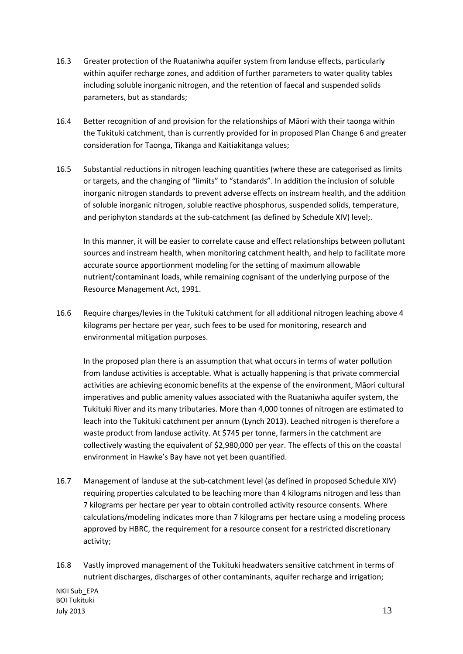- 16.3 Greater protection of the Ruataniwha aquifer system from landuse effects, particularly within aquifer recharge zones, and addition of further parameters to water quality tables including soluble inorganic nitrogen, and the retention of faecal and suspended solids parameters, but as standards;
- 16.4 Better recognition of and provision for the relationships of Māori with their taonga within the Tukituki catchment, than is currently provided for in proposed Plan Change 6 and greater consideration for Taonga, Tikanga and Kaitiakitanga values;
- 16.5 Substantial reductions in nitrogen leaching quantities (where these are categorised as limits or targets, and the changing of "limits" to "standards". In addition the inclusion of soluble inorganic nitrogen standards to prevent adverse effects on instream health, and the addition of soluble inorganic nitrogen, soluble reactive phosphorus, suspended solids, temperature, and periphyton standards at the sub-catchment (as defined by Schedule XIV) level;.

In this manner, it will be easier to correlate cause and effect relationships between pollutant sources and instream health, when monitoring catchment health, and help to facilitate more accurate source apportionment modeling for the setting of maximum allowable nutrient/contaminant loads, while remaining cognisant of the underlying purpose of the Resource Management Act, 1991.

16.6 Require charges/levies in the Tukituki catchment for all additional nitrogen leaching above 4 kilograms per hectare per year, such fees to be used for monitoring, research and environmental mitigation purposes.

In the proposed plan there is an assumption that what occurs in terms of water pollution from landuse activities is acceptable. What is actually happening is that private commercial activities are achieving economic benefits at the expense of the environment, Māori cultural imperatives and public amenity values associated with the Ruataniwha aquifer system, the Tukituki River and its many tributaries. More than 4,000 tonnes of nitrogen are estimated to leach into the Tukituki catchment per annum (Lynch 2013). Leached nitrogen is therefore a waste product from landuse activity. At \$745 per tonne, farmers in the catchment are collectively wasting the equivalent of \$2,980,000 per year. The effects of this on the coastal environment in Hawke's Bay have not yet been quantified.

- 16.7 Management of landuse at the sub-catchment level (as defined in proposed Schedule XIV) requiring properties calculated to be leaching more than 4 kilograms nitrogen and less than 7 kilograms per hectare per year to obtain controlled activity resource consents. Where calculations/modeling indicates more than 7 kilograms per hectare using a modeling process approved by HBRC, the requirement for a resource consent for a restricted discretionary activity;
- 16.8 Vastly improved management of the Tukituki headwaters sensitive catchment in terms of nutrient discharges, discharges of other contaminants, aquifer recharge and irrigation;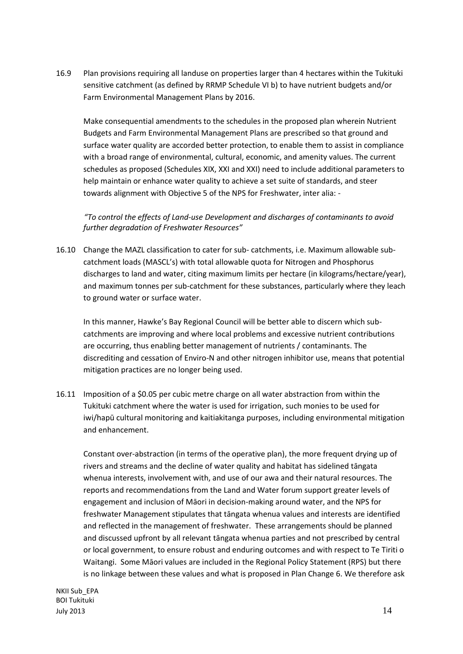16.9 Plan provisions requiring all landuse on properties larger than 4 hectares within the Tukituki sensitive catchment (as defined by RRMP Schedule VI b) to have nutrient budgets and/or Farm Environmental Management Plans by 2016.

Make consequential amendments to the schedules in the proposed plan wherein Nutrient Budgets and Farm Environmental Management Plans are prescribed so that ground and surface water quality are accorded better protection, to enable them to assist in compliance with a broad range of environmental, cultural, economic, and amenity values. The current schedules as proposed (Schedules XIX, XXI and XXI) need to include additional parameters to help maintain or enhance water quality to achieve a set suite of standards, and steer towards alignment with Objective 5 of the NPS for Freshwater, inter alia: -

*"To control the effects of Land-use Development and discharges of contaminants to avoid further degradation of Freshwater Resources"*

16.10 Change the MAZL classification to cater for sub- catchments, i.e. Maximum allowable subcatchment loads (MASCL's) with total allowable quota for Nitrogen and Phosphorus discharges to land and water, citing maximum limits per hectare (in kilograms/hectare/year), and maximum tonnes per sub-catchment for these substances, particularly where they leach to ground water or surface water.

In this manner, Hawke's Bay Regional Council will be better able to discern which subcatchments are improving and where local problems and excessive nutrient contributions are occurring, thus enabling better management of nutrients / contaminants. The discrediting and cessation of Enviro-N and other nitrogen inhibitor use, means that potential mitigation practices are no longer being used.

16.11 Imposition of a \$0.05 per cubic metre charge on all water abstraction from within the Tukituki catchment where the water is used for irrigation, such monies to be used for iwi/hapū cultural monitoring and kaitiakitanga purposes, including environmental mitigation and enhancement.

Constant over-abstraction (in terms of the operative plan), the more frequent drying up of rivers and streams and the decline of water quality and habitat has sidelined tāngata whenua interests, involvement with, and use of our awa and their natural resources. The reports and recommendations from the Land and Water forum support greater levels of engagement and inclusion of Māori in decision-making around water, and the NPS for freshwater Management stipulates that tāngata whenua values and interests are identified and reflected in the management of freshwater. These arrangements should be planned and discussed upfront by all relevant tāngata whenua parties and not prescribed by central or local government, to ensure robust and enduring outcomes and with respect to Te Tiriti o Waitangi. Some Māori values are included in the Regional Policy Statement (RPS) but there is no linkage between these values and what is proposed in Plan Change 6. We therefore ask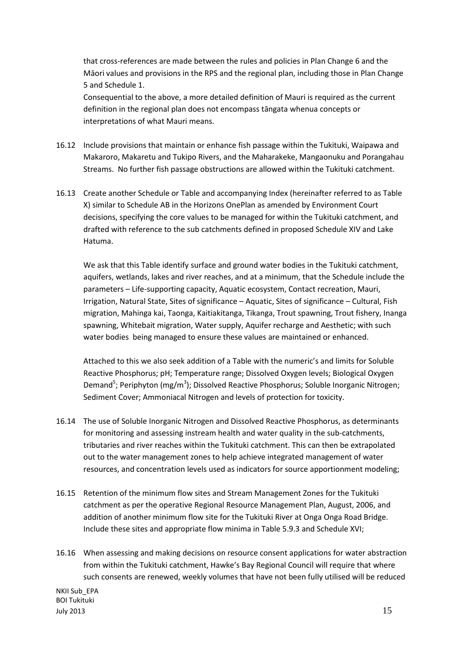that cross-references are made between the rules and policies in Plan Change 6 and the Māori values and provisions in the RPS and the regional plan, including those in Plan Change 5 and Schedule 1.

Consequential to the above, a more detailed definition of Mauri is required as the current definition in the regional plan does not encompass tāngata whenua concepts or interpretations of what Mauri means.

- 16.12 Include provisions that maintain or enhance fish passage within the Tukituki, Waipawa and Makaroro, Makaretu and Tukipo Rivers, and the Maharakeke, Mangaonuku and Porangahau Streams. No further fish passage obstructions are allowed within the Tukituki catchment.
- 16.13 Create another Schedule or Table and accompanying Index (hereinafter referred to as Table X) similar to Schedule AB in the Horizons OnePlan as amended by Environment Court decisions, specifying the core values to be managed for within the Tukituki catchment, and drafted with reference to the sub catchments defined in proposed Schedule XIV and Lake Hatuma.

We ask that this Table identify surface and ground water bodies in the Tukituki catchment, aquifers, wetlands, lakes and river reaches, and at a minimum, that the Schedule include the parameters – Life-supporting capacity, Aquatic ecosystem, Contact recreation, Mauri, Irrigation, Natural State, Sites of significance – Aquatic, Sites of significance – Cultural, Fish migration, Mahinga kai, Taonga, Kaitiakitanga, Tikanga, Trout spawning, Trout fishery, Inanga spawning, Whitebait migration, Water supply, Aquifer recharge and Aesthetic; with such water bodies being managed to ensure these values are maintained or enhanced.

Attached to this we also seek addition of a Table with the numeric's and limits for Soluble Reactive Phosphorus; pH; Temperature range; Dissolved Oxygen levels; Biological Oxygen Demand<sup>5</sup>; Periphyton (mg/m<sup>3</sup>); Dissolved Reactive Phosphorus; Soluble Inorganic Nitrogen; Sediment Cover; Ammoniacal Nitrogen and levels of protection for toxicity.

- 16.14 The use of Soluble Inorganic Nitrogen and Dissolved Reactive Phosphorus, as determinants for monitoring and assessing instream health and water quality in the sub-catchments, tributaries and river reaches within the Tukituki catchment. This can then be extrapolated out to the water management zones to help achieve integrated management of water resources, and concentration levels used as indicators for source apportionment modeling;
- 16.15 Retention of the minimum flow sites and Stream Management Zones for the Tukituki catchment as per the operative Regional Resource Management Plan, August, 2006, and addition of another minimum flow site for the Tukituki River at Onga Onga Road Bridge. Include these sites and appropriate flow minima in Table 5.9.3 and Schedule XVI;
- 16.16 When assessing and making decisions on resource consent applications for water abstraction from within the Tukituki catchment, Hawke's Bay Regional Council will require that where such consents are renewed, weekly volumes that have not been fully utilised will be reduced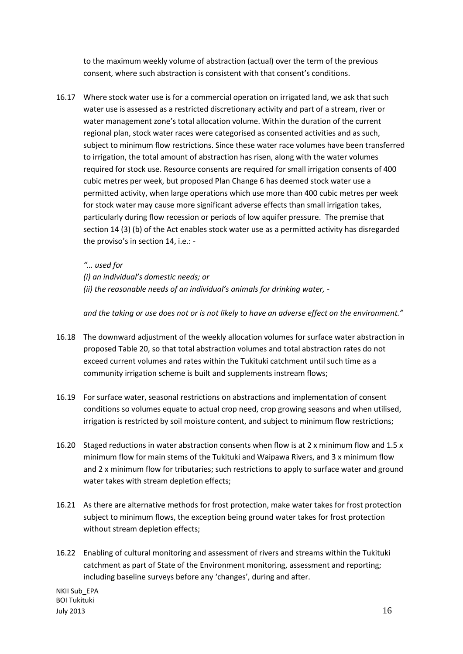to the maximum weekly volume of abstraction (actual) over the term of the previous consent, where such abstraction is consistent with that consent's conditions.

16.17 Where stock water use is for a commercial operation on irrigated land, we ask that such water use is assessed as a restricted discretionary activity and part of a stream, river or water management zone's total allocation volume. Within the duration of the current regional plan, stock water races were categorised as consented activities and as such, subject to minimum flow restrictions. Since these water race volumes have been transferred to irrigation, the total amount of abstraction has risen, along with the water volumes required for stock use. Resource consents are required for small irrigation consents of 400 cubic metres per week, but proposed Plan Change 6 has deemed stock water use a permitted activity, when large operations which use more than 400 cubic metres per week for stock water may cause more significant adverse effects than small irrigation takes, particularly during flow recession or periods of low aquifer pressure. The premise that section 14 (3) (b) of the Act enables stock water use as a permitted activity has disregarded the proviso's in section 14, i.e.: -

#### *"… used for*

*(i) an individual's domestic needs; or (ii) the reasonable needs of an individual's animals for drinking water, -*

*and the taking or use does not or is not likely to have an adverse effect on the environment."*

- 16.18 The downward adjustment of the weekly allocation volumes for surface water abstraction in proposed Table 20, so that total abstraction volumes and total abstraction rates do not exceed current volumes and rates within the Tukituki catchment until such time as a community irrigation scheme is built and supplements instream flows;
- 16.19 For surface water, seasonal restrictions on abstractions and implementation of consent conditions so volumes equate to actual crop need, crop growing seasons and when utilised, irrigation is restricted by soil moisture content, and subject to minimum flow restrictions;
- 16.20 Staged reductions in water abstraction consents when flow is at 2 x minimum flow and 1.5 x minimum flow for main stems of the Tukituki and Waipawa Rivers, and 3 x minimum flow and 2 x minimum flow for tributaries; such restrictions to apply to surface water and ground water takes with stream depletion effects;
- 16.21 As there are alternative methods for frost protection, make water takes for frost protection subject to minimum flows, the exception being ground water takes for frost protection without stream depletion effects;
- 16.22 Enabling of cultural monitoring and assessment of rivers and streams within the Tukituki catchment as part of State of the Environment monitoring, assessment and reporting; including baseline surveys before any 'changes', during and after.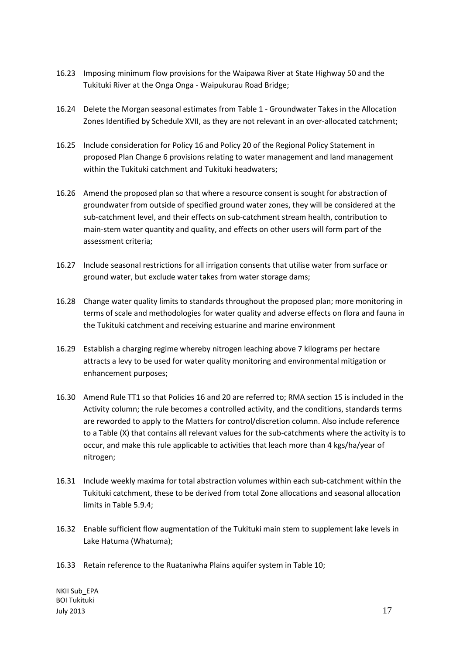- 16.23 Imposing minimum flow provisions for the Waipawa River at State Highway 50 and the Tukituki River at the Onga Onga - Waipukurau Road Bridge;
- 16.24 Delete the Morgan seasonal estimates from Table 1 Groundwater Takes in the Allocation Zones Identified by Schedule XVII, as they are not relevant in an over-allocated catchment;
- 16.25 Include consideration for Policy 16 and Policy 20 of the Regional Policy Statement in proposed Plan Change 6 provisions relating to water management and land management within the Tukituki catchment and Tukituki headwaters;
- 16.26 Amend the proposed plan so that where a resource consent is sought for abstraction of groundwater from outside of specified ground water zones, they will be considered at the sub-catchment level, and their effects on sub-catchment stream health, contribution to main-stem water quantity and quality, and effects on other users will form part of the assessment criteria;
- 16.27 Include seasonal restrictions for all irrigation consents that utilise water from surface or ground water, but exclude water takes from water storage dams;
- 16.28 Change water quality limits to standards throughout the proposed plan; more monitoring in terms of scale and methodologies for water quality and adverse effects on flora and fauna in the Tukituki catchment and receiving estuarine and marine environment
- 16.29 Establish a charging regime whereby nitrogen leaching above 7 kilograms per hectare attracts a levy to be used for water quality monitoring and environmental mitigation or enhancement purposes;
- 16.30 Amend Rule TT1 so that Policies 16 and 20 are referred to; RMA section 15 is included in the Activity column; the rule becomes a controlled activity, and the conditions, standards terms are reworded to apply to the Matters for control/discretion column. Also include reference to a Table (X) that contains all relevant values for the sub-catchments where the activity is to occur, and make this rule applicable to activities that leach more than 4 kgs/ha/year of nitrogen;
- 16.31 Include weekly maxima for total abstraction volumes within each sub-catchment within the Tukituki catchment, these to be derived from total Zone allocations and seasonal allocation limits in Table 5.9.4;
- 16.32 Enable sufficient flow augmentation of the Tukituki main stem to supplement lake levels in Lake Hatuma (Whatuma);
- 16.33 Retain reference to the Ruataniwha Plains aquifer system in Table 10;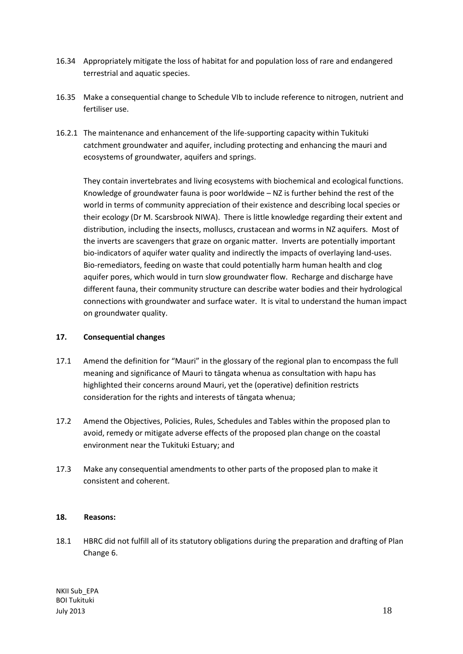- 16.34 Appropriately mitigate the loss of habitat for and population loss of rare and endangered terrestrial and aquatic species.
- 16.35 Make a consequential change to Schedule VIb to include reference to nitrogen, nutrient and fertiliser use.
- 16.2.1 The maintenance and enhancement of the life-supporting capacity within Tukituki catchment groundwater and aquifer, including protecting and enhancing the mauri and ecosystems of groundwater, aquifers and springs.

They contain invertebrates and living ecosystems with biochemical and ecological functions. Knowledge of groundwater fauna is poor worldwide – NZ is further behind the rest of the world in terms of community appreciation of their existence and describing local species or their ecolog*y* (Dr M. Scarsbrook NIWA). There is little knowledge regarding their extent and distribution, including the insects, molluscs, crustacean and worms in NZ aquifers. Most of the inverts are scavengers that graze on organic matter. Inverts are potentially important bio-indicators of aquifer water quality and indirectly the impacts of overlaying land-uses. Bio-remediators, feeding on waste that could potentially harm human health and clog aquifer pores, which would in turn slow groundwater flow. Recharge and discharge have different fauna, their community structure can describe water bodies and their hydrological connections with groundwater and surface water. It is vital to understand the human impact on groundwater quality.

# **17. Consequential changes**

- 17.1 Amend the definition for "Mauri" in the glossary of the regional plan to encompass the full meaning and significance of Mauri to tāngata whenua as consultation with hapu has highlighted their concerns around Mauri, yet the (operative) definition restricts consideration for the rights and interests of tāngata whenua;
- 17.2 Amend the Objectives, Policies, Rules, Schedules and Tables within the proposed plan to avoid, remedy or mitigate adverse effects of the proposed plan change on the coastal environment near the Tukituki Estuary; and
- 17.3 Make any consequential amendments to other parts of the proposed plan to make it consistent and coherent.

# **18. Reasons:**

18.1 HBRC did not fulfill all of its statutory obligations during the preparation and drafting of Plan Change 6.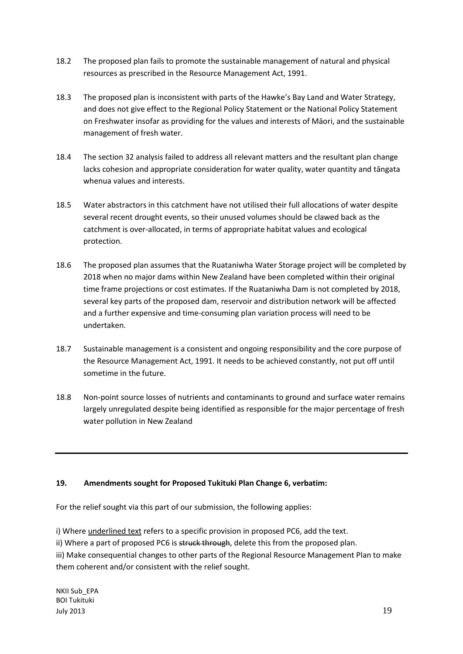- 18.2 The proposed plan fails to promote the sustainable management of natural and physical resources as prescribed in the Resource Management Act, 1991.
- 18.3 The proposed plan is inconsistent with parts of the Hawke's Bay Land and Water Strategy, and does not give effect to the Regional Policy Statement or the National Policy Statement on Freshwater insofar as providing for the values and interests of Māori, and the sustainable management of fresh water.
- 18.4 The section 32 analysis failed to address all relevant matters and the resultant plan change lacks cohesion and appropriate consideration for water quality, water quantity and tāngata whenua values and interests.
- 18.5 Water abstractors in this catchment have not utilised their full allocations of water despite several recent drought events, so their unused volumes should be clawed back as the catchment is over-allocated, in terms of appropriate habitat values and ecological protection.
- 18.6 The proposed plan assumes that the Ruataniwha Water Storage project will be completed by 2018 when no major dams within New Zealand have been completed within their original time frame projections or cost estimates. If the Ruataniwha Dam is not completed by 2018, several key parts of the proposed dam, reservoir and distribution network will be affected and a further expensive and time-consuming plan variation process will need to be undertaken.
- 18.7 Sustainable management is a consistent and ongoing responsibility and the core purpose of the Resource Management Act, 1991. It needs to be achieved constantly, not put off until sometime in the future.
- 18.8 Non-point source losses of nutrients and contaminants to ground and surface water remains largely unregulated despite being identified as responsible for the major percentage of fresh water pollution in New Zealand

# **19. Amendments sought for Proposed Tukituki Plan Change 6, verbatim:**

For the relief sought via this part of our submission, the following applies:

i) Where underlined text refers to a specific provision in proposed PC6, add the text.

ii) Where a part of proposed PC6 is struck through, delete this from the proposed plan.

iii) Make consequential changes to other parts of the Regional Resource Management Plan to make them coherent and/or consistent with the relief sought.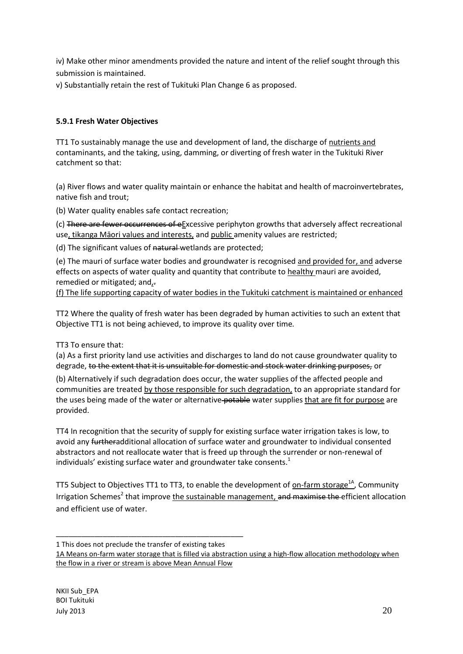iv) Make other minor amendments provided the nature and intent of the relief sought through this submission is maintained.

v) Substantially retain the rest of Tukituki Plan Change 6 as proposed.

# **5.9.1 Fresh Water Objectives**

TT1 To sustainably manage the use and development of land, the discharge of nutrients and contaminants, and the taking, using, damming, or diverting of fresh water in the Tukituki River catchment so that:

(a) River flows and water quality maintain or enhance the habitat and health of macroinvertebrates, native fish and trout;

(b) Water quality enables safe contact recreation;

(c) There are fewer occurrences of eExcessive periphyton growths that adversely affect recreational use, tikanga Māori values and interests, and public amenity values are restricted;

(d) The significant values of natural wetlands are protected;

(e) The mauri of surface water bodies and groundwater is recognised and provided for, and adverse effects on aspects of water quality and quantity that contribute to healthy mauri are avoided, remedied or mitigated; and,-

(f) The life supporting capacity of water bodies in the Tukituki catchment is maintained or enhanced

TT2 Where the quality of fresh water has been degraded by human activities to such an extent that Objective TT1 is not being achieved, to improve its quality over time*.* 

# TT3 To ensure that:

(a) As a first priority land use activities and discharges to land do not cause groundwater quality to degrade, to the extent that it is unsuitable for domestic and stock water drinking purposes, or

(b) Alternatively if such degradation does occur, the water supplies of the affected people and communities are treated by those responsible for such degradation, to an appropriate standard for the uses being made of the water or alternative potable water supplies that are fit for purpose are provided.

TT4 In recognition that the security of supply for existing surface water irrigation takes is low, to avoid any furtheradditional allocation of surface water and groundwater to individual consented abstractors and not reallocate water that is freed up through the surrender or non-renewal of individuals' existing surface water and groundwater take consents.<sup>1</sup>

TT5 Subject to Objectives TT1 to TT3, to enable the development of on-farm storage<sup>1A</sup>, Community Irrigation Schemes<sup>2</sup> that improve the sustainable management, and maximise the efficient allocation and efficient use of water.

\_\_\_\_\_\_\_\_\_\_\_\_\_\_\_\_\_\_\_\_\_\_\_\_\_\_\_\_\_\_\_\_\_\_\_\_\_\_\_\_\_\_\_\_ 1 This does not preclude the transfer of existing takes

```
1A Means on-farm water storage that is filled via abstraction using a high-flow allocation methodology when 
the flow in a river or stream is above Mean Annual Flow
```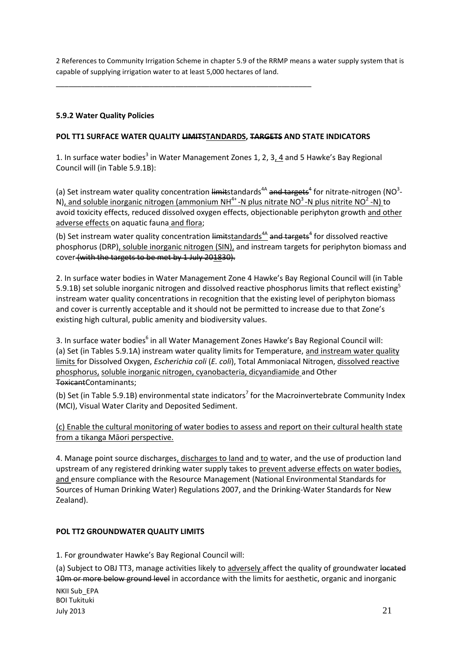2 References to Community Irrigation Scheme in chapter 5.9 of the RRMP means a water supply system that is capable of supplying irrigation water to at least 5,000 hectares of land.

\_\_\_\_\_\_\_\_\_\_\_\_\_\_\_\_\_\_\_\_\_\_\_\_\_\_\_\_\_\_\_\_\_\_\_\_\_\_\_\_\_\_\_\_\_\_\_\_\_\_\_\_\_\_\_\_\_\_\_\_

# **5.9.2 Water Quality Policies**

# **POL TT1 SURFACE WATER QUALITY LIMITSTANDARDS, TARGETS AND STATE INDICATORS**

1. In surface water bodies<sup>3</sup> in Water Management Zones 1, 2, 3, 4 and 5 Hawke's Bay Regional Council will (in Table 5.9.1B):

(a) Set instream water quality concentration limitstandards<sup>4A</sup> and targets<sup>4</sup> for nitrate-nitrogen (NO<sup>3</sup>-N), and soluble inorganic nitrogen (ammonium NH<sup>4+</sup> -N plus nitrate NO<sup>3</sup> -N plus nitrite NO<sup>2</sup> -N) to avoid toxicity effects, reduced dissolved oxygen effects, objectionable periphyton growth and other adverse effects on aquatic fauna and flora;

(b) Set instream water quality concentration limitstandards<sup>4A</sup> and targets<sup>4</sup> for dissolved reactive phosphorus (DRP), soluble inorganic nitrogen (SIN), and instream targets for periphyton biomass and cover (with the targets to be met by 1 July 201830).

2. In surface water bodies in Water Management Zone 4 Hawke's Bay Regional Council will (in Table 5.9.1B) set soluble inorganic nitrogen and dissolved reactive phosphorus limits that reflect existing<sup>5</sup> instream water quality concentrations in recognition that the existing level of periphyton biomass and cover is currently acceptable and it should not be permitted to increase due to that Zone's existing high cultural, public amenity and biodiversity values.

3. In surface water bodies<sup>6</sup> in all Water Management Zones Hawke's Bay Regional Council will: (a) Set (in Tables 5.9.1A) instream water quality limits for Temperature, and instream water quality limits for Dissolved Oxygen, *Escherichia coli* (*E. coli*), Total Ammoniacal Nitrogen, dissolved reactive phosphorus, soluble inorganic nitrogen, cyanobacteria, dicyandiamide and Other ToxicantContaminants;

(b) Set (in Table 5.9.1B) environmental state indicators<sup>7</sup> for the Macroinvertebrate Community Index (MCI), Visual Water Clarity and Deposited Sediment.

(c) Enable the cultural monitoring of water bodies to assess and report on their cultural health state from a tikanga Māori perspective.

4. Manage point source discharges, discharges to land and to water, and the use of production land upstream of any registered drinking water supply takes to prevent adverse effects on water bodies, and ensure compliance with the Resource Management (National Environmental Standards for Sources of Human Drinking Water) Regulations 2007, and the Drinking-Water Standards for New Zealand).

# **POL TT2 GROUNDWATER QUALITY LIMITS**

1. For groundwater Hawke's Bay Regional Council will:

(a) Subject to OBJ TT3, manage activities likely to adversely affect the quality of groundwater located 10m or more below ground level in accordance with the limits for aesthetic, organic and inorganic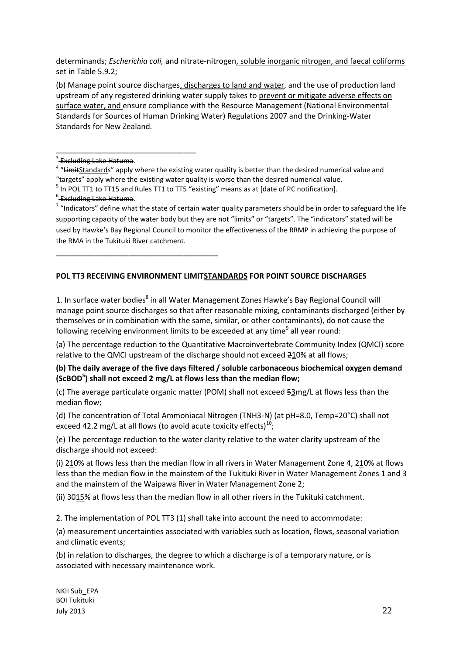determinands; *Escherichia coli,* and nitrate-nitrogen, soluble inorganic nitrogen, and faecal coliforms set in Table 5.9.2;

(b) Manage point source discharges, discharges to land and water, and the use of production land upstream of any registered drinking water supply takes to prevent or mitigate adverse effects on surface water, and ensure compliance with the Resource Management (National Environmental Standards for Sources of Human Drinking Water) Regulations 2007 and the Drinking-Water Standards for New Zealand.

<sup>3</sup> Excluding Lake Hatuma.

\_\_\_\_\_\_\_\_\_\_\_\_\_\_\_\_\_\_\_\_\_\_\_\_\_\_\_\_\_\_\_\_\_

\_\_\_\_\_\_\_\_\_\_\_\_\_\_\_\_\_\_\_\_\_\_\_\_\_\_\_\_\_\_\_\_\_\_\_\_\_\_

<sup>4</sup> "LimitStandards" apply where the existing water quality is better than the desired numerical value and "targets" apply where the existing water quality is worse than the desired numerical value.

<sup>6</sup> Excluding Lake Hatuma.

 $7$  "Indicators" define what the state of certain water quality parameters should be in order to safeguard the life supporting capacity of the water body but they are not "limits" or "targets". The "indicators" stated will be used by Hawke's Bay Regional Council to monitor the effectiveness of the RRMP in achieving the purpose of the RMA in the Tukituki River catchment.

# **POL TT3 RECEIVING ENVIRONMENT LIMITSTANDARDS FOR POINT SOURCE DISCHARGES**

1. In surface water bodies<sup>8</sup> in all Water Management Zones Hawke's Bay Regional Council will manage point source discharges so that after reasonable mixing, contaminants discharged (either by themselves or in combination with the same, similar, or other contaminants), do not cause the following receiving environment limits to be exceeded at any time<sup>9</sup> all year round:

(a) The percentage reduction to the Quantitative Macroinvertebrate Community Index (QMCI) score relative to the QMCI upstream of the discharge should not exceed 210% at all flows;

## **(b) The daily average of the five days filtered / soluble carbonaceous biochemical oxygen demand (ScBOD<sup>5</sup> ) shall not exceed 2 mg/L at flows less than the median flow;**

(c) The average particulate organic matter (POM) shall not exceed 53mg/L at flows less than the median flow;

(d) The concentration of Total Ammoniacal Nitrogen (TNH3-N) (at pH=8.0, Temp=20°C) shall not exceed 42.2 mg/L at all flows (to avoid acute toxicity effects)<sup>10</sup>;

(e) The percentage reduction to the water clarity relative to the water clarity upstream of the discharge should not exceed:

(i) 210% at flows less than the median flow in all rivers in Water Management Zone 4, 210% at flows less than the median flow in the mainstem of the Tukituki River in Water Management Zones 1 and 3 and the mainstem of the Waipawa River in Water Management Zone 2;

(ii) 3015% at flows less than the median flow in all other rivers in the Tukituki catchment.

2. The implementation of POL TT3 (1) shall take into account the need to accommodate:

(a) measurement uncertainties associated with variables such as location, flows, seasonal variation and climatic events;

(b) in relation to discharges, the degree to which a discharge is of a temporary nature, or is associated with necessary maintenance work.

 $<sup>5</sup>$  In POL TT1 to TT15 and Rules TT1 to TT5 "existing" means as at [date of PC notification].</sup>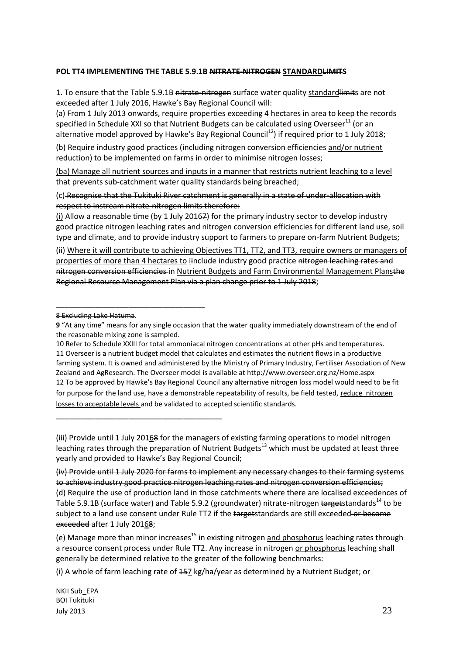### **POL TT4 IMPLEMENTING THE TABLE 5.9.1B NITRATE-NITROGEN STANDARDLIMITS**

1. To ensure that the Table 5.9.1B nitrate-nitrogen surface water quality standard limits are not exceeded after 1 July 2016, Hawke's Bay Regional Council will:

(a) From 1 July 2013 onwards, require properties exceeding 4 hectares in area to keep the records specified in Schedule XXI so that Nutrient Budgets can be calculated using Overseer<sup>11</sup> (or an alternative model approved by Hawke's Bay Regional Council<sup>12</sup>) if required prior to 1 July 2018;

(b) Require industry good practices (including nitrogen conversion efficiencies and/or nutrient reduction) to be implemented on farms in order to minimise nitrogen losses;

(ba) Manage all nutrient sources and inputs in a manner that restricts nutrient leaching to a level that prevents sub-catchment water quality standards being breached;

(c) Recognise that the Tukituki River catchment is generally in a state of under-allocation with respect to instream nitrate-nitrogen limits therefore:

(i) Allow a reasonable time (by 1 July 20167) for the primary industry sector to develop industry good practice nitrogen leaching rates and nitrogen conversion efficiencies for different land use, soil type and climate, and to provide industry support to farmers to prepare on-farm Nutrient Budgets;

(ii) Where it will contribute to achieving Objectives TT1, TT2, and TT3, require owners or managers of properties of more than 4 hectares to ilnclude industry good practice nitrogen leaching rates and nitrogen conversion efficiencies in Nutrient Budgets and Farm Environmental Management Plansthe Regional Resource Management Plan via a plan change prior to 1 July 2018;

\_\_\_\_\_\_\_\_\_\_\_\_\_\_\_\_\_\_\_\_\_\_\_\_\_\_\_\_\_\_\_\_\_\_\_

\_\_\_\_\_\_\_\_\_\_\_\_\_\_\_\_\_\_\_\_\_\_\_\_\_\_\_\_\_\_\_\_\_\_\_\_\_\_\_

10 Refer to Schedule XXIII for total ammoniacal nitrogen concentrations at other pHs and temperatures. 11 Overseer is a nutrient budget model that calculates and estimates the nutrient flows in a productive farming system. It is owned and administered by the Ministry of Primary Industry, Fertiliser Association of New Zealand and AgResearch. The Overseer model is available at http://www.overseer.org.nz/Home.aspx 12 To be approved by Hawke's Bay Regional Council any alternative nitrogen loss model would need to be fit for purpose for the land use, have a demonstrable repeatability of results, be field tested, reduce nitrogen losses to acceptable levels and be validated to accepted scientific standards.

(iii) Provide until 1 July 20168 for the managers of existing farming operations to model nitrogen leaching rates through the preparation of Nutrient Budgets<sup>13</sup> which must be updated at least three yearly and provided to Hawke's Bay Regional Council;

(iv) Provide until 1 July 2020 for farms to implement any necessary changes to their farming systems to achieve industry good practice nitrogen leaching rates and nitrogen conversion efficiencies; (d) Require the use of production land in those catchments where there are localised exceedences of Table 5.9.1B (surface water) and Table 5.9.2 (groundwater) nitrate-nitrogen targetstandards<sup>14</sup> to be subject to a land use consent under Rule TT2 if the targetstandards are still exceeded or become exceeded after 1 July 20168;

(e) Manage more than minor increases<sup>15</sup> in existing nitrogen and phosphorus leaching rates through a resource consent process under Rule TT2. Any increase in nitrogen or phosphorus leaching shall generally be determined relative to the greater of the following benchmarks:

(i) A whole of farm leaching rate of 157 kg/ha/year as determined by a Nutrient Budget; or

<sup>8</sup> Excluding Lake Hatuma.

**<sup>9</sup>** "At any time" means for any single occasion that the water quality immediately downstream of the end of the reasonable mixing zone is sampled.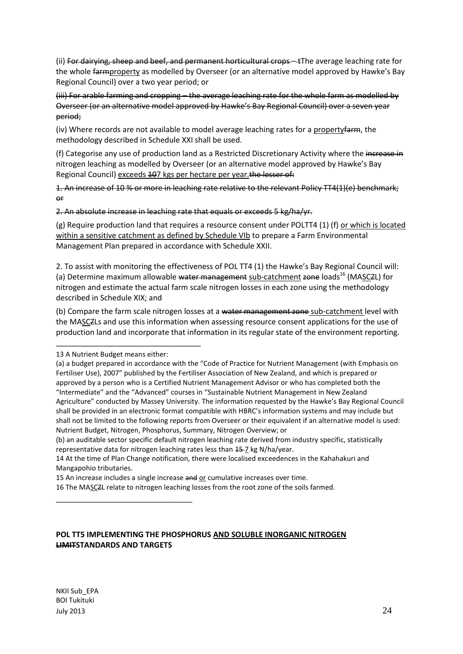(ii) For dairying, sheep and beef, and permanent horticultural crops—t The average leaching rate for the whole farmproperty as modelled by Overseer (or an alternative model approved by Hawke's Bay Regional Council) over a two year period; or

(iii) For arable farming and cropping – the average leaching rate for the whole farm as modelled by Overseer (or an alternative model approved by Hawke's Bay Regional Council) over a seven year period;

(iv) Where records are not available to model average leaching rates for a property farm, the methodology described in Schedule XXI shall be used.

(f) Categorise any use of production land as a Restricted Discretionary Activity where the increase in nitrogen leaching as modelled by Overseer (or an alternative model approved by Hawke's Bay Regional Council) exceeds 407 kgs per hectare per year. the lesser of:

1. An increase of 10 % or more in leaching rate relative to the relevant Policy TT4(1)(e) benchmark; or

2. An absolute increase in leaching rate that equals or exceeds 5 kg/ha/yr.

(g) Require production land that requires a resource consent under POLTT4 (1) (f) or which is located within a sensitive catchment as defined by Schedule VIb to prepare a Farm Environmental Management Plan prepared in accordance with Schedule XXII.

2. To assist with monitoring the effectiveness of POL TT4 (1) the Hawke's Bay Regional Council will: (a) Determine maximum allowable water management sub-catchment zone loads<sup>16</sup> (MASCZL) for nitrogen and estimate the actual farm scale nitrogen losses in each zone using the methodology described in Schedule XIX; and

(b) Compare the farm scale nitrogen losses at a water management zone sub-catchment level with the MASCZLs and use this information when assessing resource consent applications for the use of production land and incorporate that information in its regular state of the environment reporting.

\_\_\_\_\_\_\_\_\_\_\_\_\_\_\_\_\_\_\_\_\_\_\_\_\_\_\_\_\_\_\_\_\_\_

\_\_\_\_\_\_\_\_\_\_\_\_\_\_\_\_\_\_\_\_\_\_\_\_\_\_\_\_\_\_\_\_

(b) an auditable sector specific default nitrogen leaching rate derived from industry specific, statistically representative data for nitrogen leaching rates less than  $45$ -7 kg N/ha/year.

14 At the time of Plan Change notification, there were localised exceedences in the Kahahakuri and Mangapohio tributaries.

15 An increase includes a single increase and or cumulative increases over time.

16 The MASCZL relate to nitrogen leaching losses from the root zone of the soils farmed.

# **POL TT5 IMPLEMENTING THE PHOSPHORUS AND SOLUBLE INORGANIC NITROGEN LIMITSTANDARDS AND TARGETS**

<sup>13</sup> A Nutrient Budget means either:

<sup>(</sup>a) a budget prepared in accordance with the "Code of Practice for Nutrient Management (with Emphasis on Fertiliser Use), 2007" published by the Fertiliser Association of New Zealand, and which is prepared or approved by a person who is a Certified Nutrient Management Advisor or who has completed both the "Intermediate" and the "Advanced" courses in "Sustainable Nutrient Management in New Zealand Agriculture" conducted by Massey University. The information requested by the Hawke's Bay Regional Council shall be provided in an electronic format compatible with HBRC's information systems and may include but shall not be limited to the following reports from Overseer or their equivalent if an alternative model is used: Nutrient Budget, Nitrogen, Phosphorus, Summary, Nitrogen Overview; or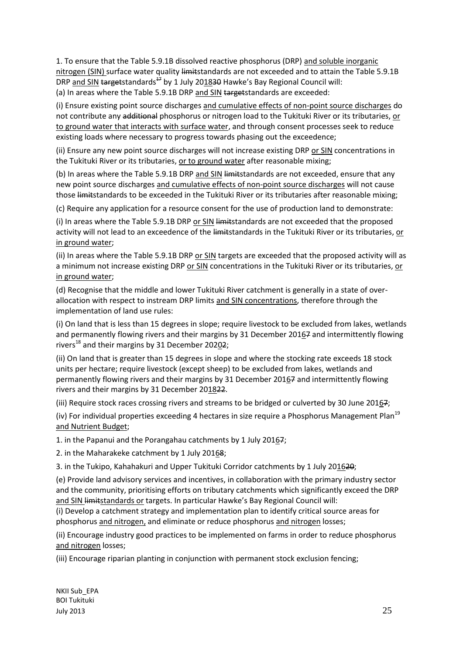1. To ensure that the Table 5.9.1B dissolved reactive phosphorus (DRP) and soluble inorganic nitrogen (SIN) surface water quality limitstandards are not exceeded and to attain the Table 5.9.1B DRP and SIN targetstandards<sup> $47$ </sup> by 1 July 201830 Hawke's Bay Regional Council will: (a) In areas where the Table 5.9.1B DRP and SIN targetstandards are exceeded:

(i) Ensure existing point source discharges and cumulative effects of non-point source discharges do not contribute any additional phosphorus or nitrogen load to the Tukituki River or its tributaries, or to ground water that interacts with surface water, and through consent processes seek to reduce existing loads where necessary to progress towards phasing out the exceedence;

(ii) Ensure any new point source discharges will not increase existing DRP or SIN concentrations in the Tukituki River or its tributaries, or to ground water after reasonable mixing;

(b) In areas where the Table 5.9.1B DRP and SIN limitstandards are not exceeded, ensure that any new point source discharges and cumulative effects of non-point source discharges will not cause those limitstandards to be exceeded in the Tukituki River or its tributaries after reasonable mixing;

(c) Require any application for a resource consent for the use of production land to demonstrate:

(i) In areas where the Table 5.9.1B DRP or SIN limitstandards are not exceeded that the proposed activity will not lead to an exceedence of the limitstandards in the Tukituki River or its tributaries, or in ground water;

(ii) In areas where the Table 5.9.1B DRP or SIN targets are exceeded that the proposed activity will as a minimum not increase existing DRP or SIN concentrations in the Tukituki River or its tributaries, or in ground water;

(d) Recognise that the middle and lower Tukituki River catchment is generally in a state of overallocation with respect to instream DRP limits and SIN concentrations, therefore through the implementation of land use rules:

(i) On land that is less than 15 degrees in slope; require livestock to be excluded from lakes, wetlands and permanently flowing rivers and their margins by 31 December 20167 and intermittently flowing rivers<sup>18</sup> and their margins by 31 December 20202;

(ii) On land that is greater than 15 degrees in slope and where the stocking rate exceeds 18 stock units per hectare; require livestock (except sheep) to be excluded from lakes, wetlands and permanently flowing rivers and their margins by 31 December 20167 and intermittently flowing rivers and their margins by 31 December 201822.

(iii) Require stock races crossing rivers and streams to be bridged or culverted by 30 June 20167;

(iv) For individual properties exceeding 4 hectares in size require a Phosphorus Management Plan<sup>19</sup> and Nutrient Budget;

1. in the Papanui and the Porangahau catchments by 1 July 20167;

2. in the Maharakeke catchment by 1 July 20168;

3. in the Tukipo, Kahahakuri and Upper Tukituki Corridor catchments by 1 July 201620;

(e) Provide land advisory services and incentives, in collaboration with the primary industry sector and the community, prioritising efforts on tributary catchments which significantly exceed the DRP and SIN limitstandards or targets. In particular Hawke's Bay Regional Council will:

(i) Develop a catchment strategy and implementation plan to identify critical source areas for phosphorus and nitrogen, and eliminate or reduce phosphorus and nitrogen losses;

(ii) Encourage industry good practices to be implemented on farms in order to reduce phosphorus and nitrogen losses;

(iii) Encourage riparian planting in conjunction with permanent stock exclusion fencing;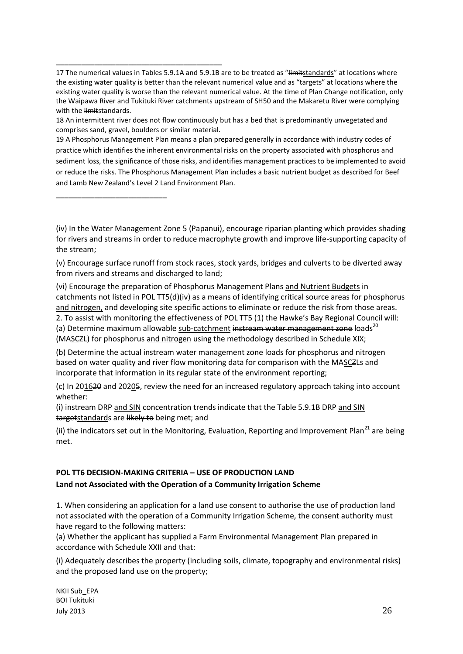17 The numerical values in Tables 5.9.1A and 5.9.1B are to be treated as "Hmitstandards" at locations where the existing water quality is better than the relevant numerical value and as "targets" at locations where the existing water quality is worse than the relevant numerical value. At the time of Plan Change notification, only the Waipawa River and Tukituki River catchments upstream of SH50 and the Makaretu River were complying with the limitstandards.

18 An intermittent river does not flow continuously but has a bed that is predominantly unvegetated and comprises sand, gravel, boulders or similar material.

\_\_\_\_\_\_\_\_\_\_\_\_\_\_\_\_\_\_\_\_\_\_\_\_\_\_\_\_\_\_\_\_\_\_\_\_\_\_\_

\_\_\_\_\_\_\_\_\_\_\_\_\_\_\_\_\_\_\_\_\_\_\_\_\_\_

19 A Phosphorus Management Plan means a plan prepared generally in accordance with industry codes of practice which identifies the inherent environmental risks on the property associated with phosphorus and sediment loss, the significance of those risks, and identifies management practices to be implemented to avoid or reduce the risks. The Phosphorus Management Plan includes a basic nutrient budget as described for Beef and Lamb New Zealand's Level 2 Land Environment Plan.

(v) Encourage surface runoff from stock races, stock yards, bridges and culverts to be diverted away from rivers and streams and discharged to land;

(vi) Encourage the preparation of Phosphorus Management Plans and Nutrient Budgets in catchments not listed in POL TT5(d)(iv) as a means of identifying critical source areas for phosphorus and nitrogen, and developing site specific actions to eliminate or reduce the risk from those areas.

2. To assist with monitoring the effectiveness of POL TT5 (1) the Hawke's Bay Regional Council will: (a) Determine maximum allowable sub-catchment instream water management zone loads<sup>20</sup> (MASCZL) for phosphorus and nitrogen using the methodology described in Schedule XIX;

(b) Determine the actual instream water management zone loads for phosphorus and nitrogen based on water quality and river flow monitoring data for comparison with the MASCZLs and incorporate that information in its regular state of the environment reporting;

(c) In 201620 and 20205, review the need for an increased regulatory approach taking into account whether:

(i) instream DRP and SIN concentration trends indicate that the Table 5.9.1B DRP and SIN targetstandards are likely to being met; and

(ii) the indicators set out in the Monitoring, Evaluation, Reporting and Improvement Plan<sup>21</sup> are being met.

# **POL TT6 DECISION-MAKING CRITERIA – USE OF PRODUCTION LAND**

#### **Land not Associated with the Operation of a Community Irrigation Scheme**

1. When considering an application for a land use consent to authorise the use of production land not associated with the operation of a Community Irrigation Scheme, the consent authority must have regard to the following matters:

(a) Whether the applicant has supplied a Farm Environmental Management Plan prepared in accordance with Schedule XXII and that:

(i) Adequately describes the property (including soils, climate, topography and environmental risks) and the proposed land use on the property;

<sup>(</sup>iv) In the Water Management Zone 5 (Papanui), encourage riparian planting which provides shading for rivers and streams in order to reduce macrophyte growth and improve life-supporting capacity of the stream;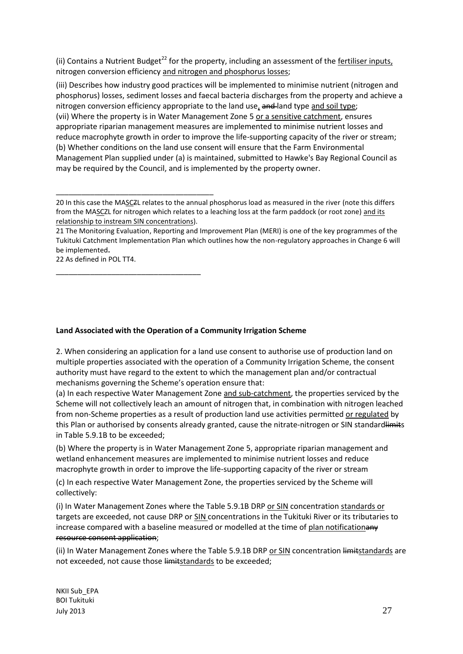(ii) Contains a Nutrient Budget<sup>22</sup> for the property, including an assessment of the fertiliser inputs, nitrogen conversion efficiency and nitrogen and phosphorus losses;

(iii) Describes how industry good practices will be implemented to minimise nutrient (nitrogen and phosphorus) losses, sediment losses and faecal bacteria discharges from the property and achieve a nitrogen conversion efficiency appropriate to the land use,  $\frac{1}{2}$  and land type and soil type; (vii) Where the property is in Water Management Zone 5 or a sensitive catchment, ensures appropriate riparian management measures are implemented to minimise nutrient losses and reduce macrophyte growth in order to improve the life-supporting capacity of the river or stream; (b) Whether conditions on the land use consent will ensure that the Farm Environmental Management Plan supplied under (a) is maintained, submitted to Hawke's Bay Regional Council as may be required by the Council, and is implemented by the property owner.

21 The Monitoring Evaluation, Reporting and Improvement Plan (MERI) is one of the key programmes of the Tukituki Catchment Implementation Plan which outlines how the non-regulatory approaches in Change 6 will be implemented**.** 

22 As defined in POL TT4.

\_\_\_\_\_\_\_\_\_\_\_\_\_\_\_\_\_\_\_\_\_\_\_\_\_\_\_\_\_\_\_\_\_\_\_\_\_

\_\_\_\_\_\_\_\_\_\_\_\_\_\_\_\_\_\_\_\_\_\_\_\_\_\_\_\_\_\_\_\_\_\_

**Land Associated with the Operation of a Community Irrigation Scheme** 

2. When considering an application for a land use consent to authorise use of production land on multiple properties associated with the operation of a Community Irrigation Scheme, the consent authority must have regard to the extent to which the management plan and/or contractual mechanisms governing the Scheme's operation ensure that:

(a) In each respective Water Management Zone and sub-catchment, the properties serviced by the Scheme will not collectively leach an amount of nitrogen that, in combination with nitrogen leached from non-Scheme properties as a result of production land use activities permitted or regulated by this Plan or authorised by consents already granted, cause the nitrate-nitrogen or SIN standardlimits in Table 5.9.1B to be exceeded;

(b) Where the property is in Water Management Zone 5, appropriate riparian management and wetland enhancement measures are implemented to minimise nutrient losses and reduce macrophyte growth in order to improve the life-supporting capacity of the river or stream

(c) In each respective Water Management Zone, the properties serviced by the Scheme will collectively:

(i) In Water Management Zones where the Table 5.9.1B DRP or SIN concentration standards or targets are exceeded, not cause DRP or SIN concentrations in the Tukituki River or its tributaries to increase compared with a baseline measured or modelled at the time of plan notificationany resource consent application;

(ii) In Water Management Zones where the Table 5.9.1B DRP or SIN concentration limitstandards are not exceeded, not cause those limitstandards to be exceeded;

<sup>20</sup> In this case the MASCZL relates to the annual phosphorus load as measured in the river (note this differs from the MASCZL for nitrogen which relates to a leaching loss at the farm paddock (or root zone) and its relationship to instream SIN concentrations).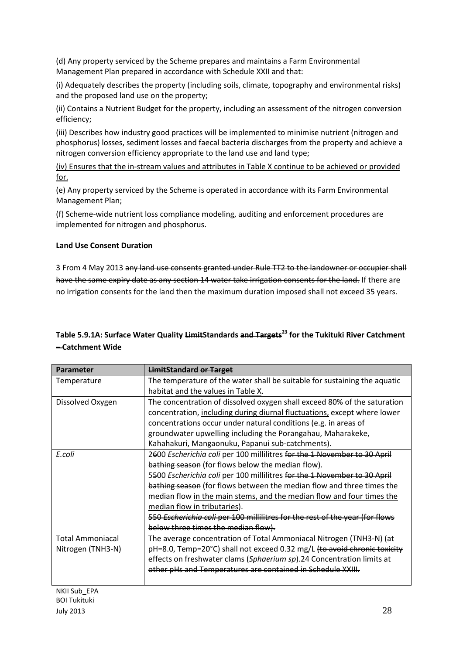(d) Any property serviced by the Scheme prepares and maintains a Farm Environmental Management Plan prepared in accordance with Schedule XXII and that:

(i) Adequately describes the property (including soils, climate, topography and environmental risks) and the proposed land use on the property;

(ii) Contains a Nutrient Budget for the property, including an assessment of the nitrogen conversion efficiency;

(iii) Describes how industry good practices will be implemented to minimise nutrient (nitrogen and phosphorus) losses, sediment losses and faecal bacteria discharges from the property and achieve a nitrogen conversion efficiency appropriate to the land use and land type;

(iv) Ensures that the in-stream values and attributes in Table X continue to be achieved or provided for.

(e) Any property serviced by the Scheme is operated in accordance with its Farm Environmental Management Plan;

(f) Scheme-wide nutrient loss compliance modeling, auditing and enforcement procedures are implemented for nitrogen and phosphorus.

# **Land Use Consent Duration**

3 From 4 May 2013 any land use consents granted under Rule TT2 to the landowner or occupier shall have the same expiry date as any section 14 water take irrigation consents for the land. If there are no irrigation consents for the land then the maximum duration imposed shall not exceed 35 years.

# **Table 5.9.1A: Surface Water Quality LimitStandards and Targets<sup>23</sup> for the Tukituki River Catchment – Catchment Wide**

| Parameter               | <b>LimitStandard or Target</b>                                               |
|-------------------------|------------------------------------------------------------------------------|
| Temperature             | The temperature of the water shall be suitable for sustaining the aquatic    |
|                         | habitat and the values in Table X.                                           |
| Dissolved Oxygen        | The concentration of dissolved oxygen shall exceed 80% of the saturation     |
|                         | concentration, including during diurnal fluctuations, except where lower     |
|                         | concentrations occur under natural conditions (e.g. in areas of              |
|                         | groundwater upwelling including the Porangahau, Maharakeke,                  |
|                         | Kahahakuri, Mangaonuku, Papanui sub-catchments).                             |
| E.coli                  | 2600 Escherichia coli per 100 millilitres for the 1 November to 30 April     |
|                         | bathing season (for flows below the median flow).                            |
|                         | 5500 Escherichia coli per 100 millilitres for the 1 November to 30 April     |
|                         | bathing season (for flows between the median flow and three times the        |
|                         | median flow in the main stems, and the median flow and four times the        |
|                         | median flow in tributaries).                                                 |
|                         | 550 Escherichia coli per 100 millilitres for the rest of the year (for flows |
|                         | below three times the median flow).                                          |
| <b>Total Ammoniacal</b> | The average concentration of Total Ammoniacal Nitrogen (TNH3-N) (at          |
| Nitrogen (TNH3-N)       | pH=8.0, Temp=20°C) shall not exceed 0.32 mg/L (to avoid chronic toxicity     |
|                         | effects on freshwater clams (Sphaerium sp).24 Concentration limits at        |
|                         | other pHs and Temperatures are contained in Schedule XXIII.                  |
|                         |                                                                              |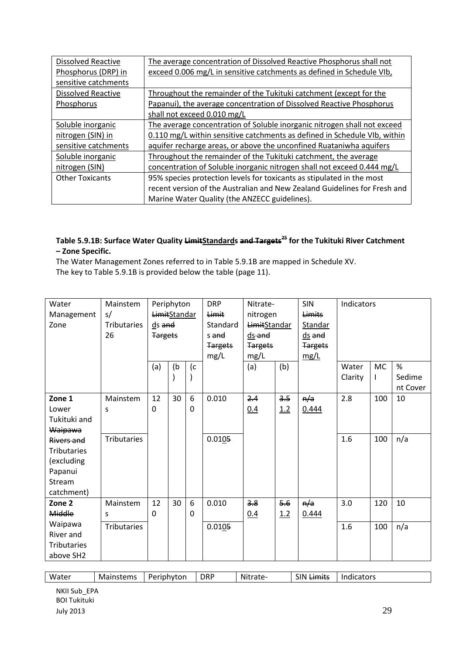| <b>Dissolved Reactive</b> | The average concentration of Dissolved Reactive Phosphorus shall not      |
|---------------------------|---------------------------------------------------------------------------|
| Phosphorus (DRP) in       | exceed 0.006 mg/L in sensitive catchments as defined in Schedule VIb,     |
| sensitive catchments      |                                                                           |
| <b>Dissolved Reactive</b> | Throughout the remainder of the Tukituki catchment (except for the        |
| Phosphorus                | Papanui), the average concentration of Dissolved Reactive Phosphorus      |
|                           | shall not exceed 0.010 mg/L                                               |
| Soluble inorganic         | The average concentration of Soluble inorganic nitrogen shall not exceed  |
| nitrogen (SIN) in         | 0.110 mg/L within sensitive catchments as defined in Schedule VIb, within |
| sensitive catchments      | aquifer recharge areas, or above the unconfined Ruataniwha aquifers       |
| Soluble inorganic         | Throughout the remainder of the Tukituki catchment, the average           |
| nitrogen (SIN)            | concentration of Soluble inorganic nitrogen shall not exceed 0.444 mg/L   |
| <b>Other Toxicants</b>    | 95% species protection levels for toxicants as stipulated in the most     |
|                           | recent version of the Australian and New Zealand Guidelines for Fresh and |
|                           | Marine Water Quality (the ANZECC guidelines).                             |

# **Table 5.9.1B: Surface Water Quality LimitStandards and Targets <sup>25</sup> for the Tukituki River Catchment – Zone Specific.**

The Water Management Zones referred to in Table 5.9.1B are mapped in Schedule XV. The key to Table 5.9.1B is provided below the table (page 11).

| Water              | Mainstem           |                | Periphyton   |             | <b>DRP</b>     | Nitrate-            |     | <b>SIN</b>     | Indicators |           |          |
|--------------------|--------------------|----------------|--------------|-------------|----------------|---------------------|-----|----------------|------------|-----------|----------|
| Management         | s/                 |                | LimitStandar |             | Limit          | nitrogen            |     | <b>Limits</b>  |            |           |          |
| Zone               | <b>Tributaries</b> | ds and         |              |             | Standard       | <b>LimitStandar</b> |     | Standar        |            |           |          |
|                    | 26                 | <b>Targets</b> |              |             | s and          | $ds$ and            |     | $ds$ and       |            |           |          |
|                    |                    |                |              |             | <b>Targets</b> | <b>Targets</b>      |     | <b>Targets</b> |            |           |          |
|                    |                    |                |              |             | mg/L           | mg/L                |     | mg/L           |            |           |          |
|                    |                    | (a)            | (b)          | (c)         |                | (a)                 | (b) |                | Water      | <b>MC</b> | %        |
|                    |                    |                |              |             |                |                     |     |                | Clarity    |           | Sedime   |
|                    |                    |                |              |             |                |                     |     |                |            |           | nt Cover |
| Zone 1             | Mainstem           | 12             | 30           | 6           | 0.010          | 2.4                 | 3.5 | n/a            | 2.8        | 100       | 10       |
| Lower              | S                  | 0              |              | $\mathbf 0$ |                | 0.4                 | 1.2 | 0.444          |            |           |          |
| Tukituki and       |                    |                |              |             |                |                     |     |                |            |           |          |
| Waipawa            |                    |                |              |             |                |                     |     |                |            |           |          |
| Rivers and         | <b>Tributaries</b> |                |              |             | 0.0105         |                     |     |                | 1.6        | 100       | n/a      |
| <b>Tributaries</b> |                    |                |              |             |                |                     |     |                |            |           |          |
| (excluding         |                    |                |              |             |                |                     |     |                |            |           |          |
| Papanui            |                    |                |              |             |                |                     |     |                |            |           |          |
| Stream             |                    |                |              |             |                |                     |     |                |            |           |          |
| catchment)         |                    |                |              |             |                |                     |     |                |            |           |          |
| Zone <sub>2</sub>  | Mainstem           | 12             | 30           | 6           | 0.010          | 3.8                 | 5.6 | n/a            | 3.0        | 120       | 10       |
| Middle             | S                  | $\Omega$       |              | $\Omega$    |                | 0.4                 | 1.2 | 0.444          |            |           |          |
| Waipawa            | <b>Tributaries</b> |                |              |             | 0.0105         |                     |     |                | 1.6        | 100       | n/a      |
| River and          |                    |                |              |             |                |                     |     |                |            |           |          |
| <b>Tributaries</b> |                    |                |              |             |                |                     |     |                |            |           |          |
| above SH2          |                    |                |              |             |                |                     |     |                |            |           |          |

| <b>DRP</b><br>SIN<br>Water<br>Mainstems<br>Indicators<br>Nitrate-<br>.imitc<br>Periphyton<br><del>emmu</del> s |  |
|----------------------------------------------------------------------------------------------------------------|--|
|----------------------------------------------------------------------------------------------------------------|--|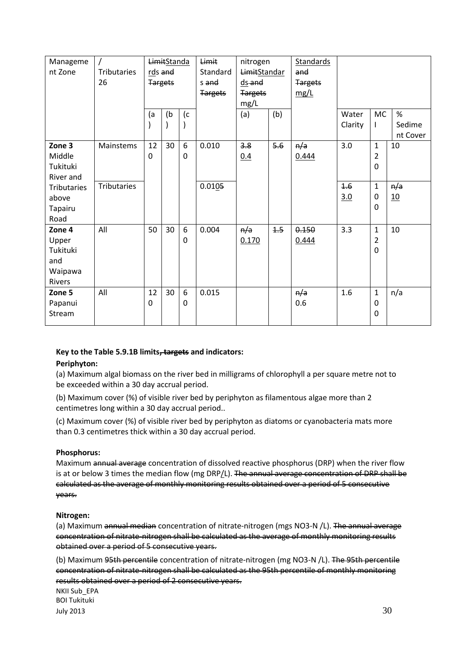| Manageme<br>nt Zone                                     | Tributaries<br>26  |                     | <b>LimitStanda</b><br>rds and<br><b>Targets</b> |               | Limit<br>Standard<br>s and<br><b>Targets</b> | nitrogen<br>LimitStandar<br>ds and<br><b>Targets</b><br>mg/L |     | Standards<br>and<br><b>Targets</b><br>mg/L |                  |                                                 |             |
|---------------------------------------------------------|--------------------|---------------------|-------------------------------------------------|---------------|----------------------------------------------|--------------------------------------------------------------|-----|--------------------------------------------|------------------|-------------------------------------------------|-------------|
|                                                         |                    | (a<br>$\mathcal{C}$ | (b)                                             | (c            |                                              | (a)                                                          | (b) |                                            | Water<br>Clarity | <b>MC</b><br>L                                  | %<br>Sedime |
|                                                         |                    |                     | $\mathcal{E}$                                   |               |                                              |                                                              |     |                                            |                  |                                                 | nt Cover    |
| Zone 3<br>Middle<br>Tukituki<br>River and               | Mainstems          | 12<br>0             | 30                                              | 6<br>$\Omega$ | 0.010                                        | 3.8<br>0.4                                                   | 5.6 | n/a<br>0.444                               | 3.0              | $\mathbf{1}$<br>$\overline{2}$<br>$\mathbf 0$   | 10          |
| Tributaries<br>above<br>Tapairu<br>Road                 | <b>Tributaries</b> |                     |                                                 |               | 0.0105                                       |                                                              |     |                                            | 4.6<br>3.0       | $\mathbf{1}$<br>$\boldsymbol{0}$<br>$\mathbf 0$ | n/a<br>10   |
| Zone 4<br>Upper<br>Tukituki<br>and<br>Waipawa<br>Rivers | All                | 50                  | 30                                              | 6<br>$\Omega$ | 0.004                                        | n/a<br>0.170                                                 | 4.5 | 0.150<br>0.444                             | 3.3              | $\mathbf{1}$<br>$\overline{2}$<br>$\mathbf 0$   | 10          |
| Zone 5<br>Papanui<br>Stream                             | All                | 12<br>$\mathbf 0$   | 30                                              | 6<br>$\Omega$ | 0.015                                        |                                                              |     | n/a<br>0.6                                 | 1.6              | $\mathbf{1}$<br>$\mathbf 0$<br>$\boldsymbol{0}$ | n/a         |

# **Key to the Table 5.9.1B limits, targets and indicators:**

# **Periphyton:**

(a) Maximum algal biomass on the river bed in milligrams of chlorophyll a per square metre not to be exceeded within a 30 day accrual period.

(b) Maximum cover (%) of visible river bed by periphyton as filamentous algae more than 2 centimetres long within a 30 day accrual period..

(c) Maximum cover (%) of visible river bed by periphyton as diatoms or cyanobacteria mats more than 0.3 centimetres thick within a 30 day accrual period.

#### **Phosphorus:**

Maximum annual average concentration of dissolved reactive phosphorus (DRP) when the river flow is at or below 3 times the median flow (mg DRP/L). The annual average concentration of DRP shall be calculated as the average of monthly monitoring results obtained over a period of 5 consecutive years.

#### **Nitrogen:**

(a) Maximum annual median concentration of nitrate-nitrogen (mgs NO3-N /L). The annual average concentration of nitrate-nitrogen shall be calculated as the average of monthly monitoring results obtained over a period of 5 consecutive years.

(b) Maximum 95th percentile concentration of nitrate-nitrogen (mg NO3-N /L). The 95th percentile concentration of nitrate-nitrogen shall be calculated as the 95th percentile of monthly monitoring results obtained over a period of 2 consecutive years.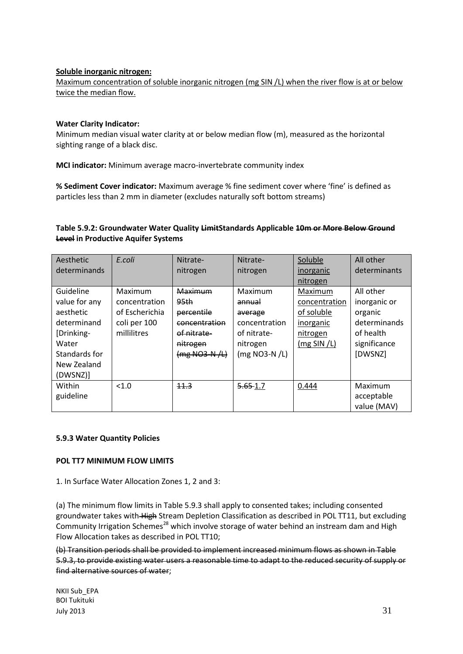### **Soluble inorganic nitrogen:**

Maximum concentration of soluble inorganic nitrogen (mg SIN /L) when the river flow is at or below twice the median flow.

#### **Water Clarity Indicator:**

Minimum median visual water clarity at or below median flow (m), measured as the horizontal sighting range of a black disc.

**MCI indicator:** Minimum average macro-invertebrate community index

**% Sediment Cover indicator:** Maximum average % fine sediment cover where 'fine' is defined as particles less than 2 mm in diameter (excludes naturally soft bottom streams)

## **Table 5.9.2: Groundwater Water Quality LimitStandards Applicable 10m or More Below Ground Level in Productive Aquifer Systems**

| Aesthetic<br>determinands                                                      | E.coli                                     | Nitrate-<br>nitrogen                                       | Nitrate-<br>nitrogen                                       | Soluble<br>inorganic<br>nitrogen          | All other<br>determinants                            |
|--------------------------------------------------------------------------------|--------------------------------------------|------------------------------------------------------------|------------------------------------------------------------|-------------------------------------------|------------------------------------------------------|
| Guideline<br>value for any<br>aesthetic                                        | Maximum<br>concentration<br>of Escherichia | Maximum<br>95 <sub>th</sub><br>percentile                  | Maximum<br>annual<br>average                               | Maximum<br>concentration<br>of soluble    | All other<br>inorganic or<br>organic                 |
| determinand<br>[Drinking-<br>Water<br>Standards for<br>New Zealand<br>(DWSNZ)] | coli per 100<br>millilitres                | concentration<br>of nitrate-<br>nitrogen<br>$(mg NQ3-N/L)$ | concentration<br>of nitrate-<br>nitrogen<br>$(mg NO3-N/L)$ | inorganic<br>nitrogen<br>$(mg$ SIN $/L$ ) | determinands<br>of health<br>significance<br>[DWSNZ] |
| Within<br>guideline                                                            | < 1.0                                      | 11.3                                                       | $5.65 - 1.7$                                               | 0.444                                     | Maximum<br>acceptable<br>value (MAV)                 |

# **5.9.3 Water Quantity Policies**

#### **POL TT7 MINIMUM FLOW LIMITS**

#### 1. In Surface Water Allocation Zones 1, 2 and 3:

(a) The minimum flow limits in Table 5.9.3 shall apply to consented takes; including consented groundwater takes with High Stream Depletion Classification as described in POL TT11, but excluding Community Irrigation Schemes<sup>28</sup> which involve storage of water behind an instream dam and High Flow Allocation takes as described in POL TT10;

(b) Transition periods shall be provided to implement increased minimum flows as shown in Table 5.9.3, to provide existing water users a reasonable time to adapt to the reduced security of supply or find alternative sources of water;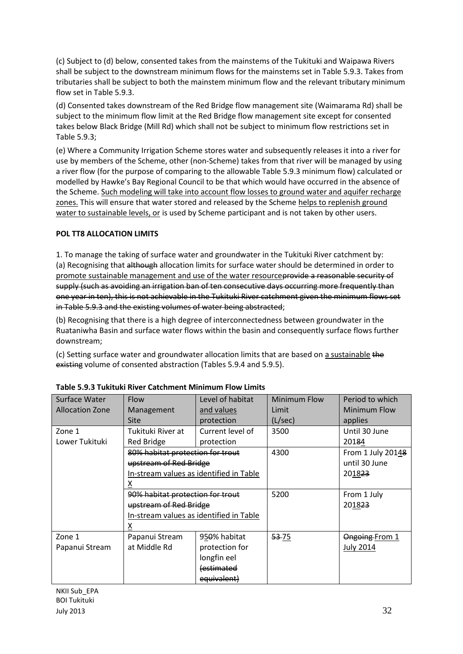(c) Subject to (d) below, consented takes from the mainstems of the Tukituki and Waipawa Rivers shall be subject to the downstream minimum flows for the mainstems set in Table 5.9.3. Takes from tributaries shall be subject to both the mainstem minimum flow and the relevant tributary minimum flow set in Table 5.9.3.

(d) Consented takes downstream of the Red Bridge flow management site (Waimarama Rd) shall be subject to the minimum flow limit at the Red Bridge flow management site except for consented takes below Black Bridge (Mill Rd) which shall not be subject to minimum flow restrictions set in Table 5.9.3;

(e) Where a Community Irrigation Scheme stores water and subsequently releases it into a river for use by members of the Scheme, other (non-Scheme) takes from that river will be managed by using a river flow (for the purpose of comparing to the allowable Table 5.9.3 minimum flow) calculated or modelled by Hawke's Bay Regional Council to be that which would have occurred in the absence of the Scheme. Such modeling will take into account flow losses to ground water and aquifer recharge zones. This will ensure that water stored and released by the Scheme helps to replenish ground water to sustainable levels, or is used by Scheme participant and is not taken by other users.

# **POL TT8 ALLOCATION LIMITS**

1. To manage the taking of surface water and groundwater in the Tukituki River catchment by: (a) Recognising that although allocation limits for surface water should be determined in order to promote sustainable management and use of the water resourceprovide a reasonable security of supply (such as avoiding an irrigation ban of ten consecutive days occurring more frequently than one year in ten), this is not achievable in the Tukituki River catchment given the minimum flows set in Table 5.9.3 and the existing volumes of water being abstracted;

(b) Recognising that there is a high degree of interconnectedness between groundwater in the Ruataniwha Basin and surface water flows within the basin and consequently surface flows further downstream;

(c) Setting surface water and groundwater allocation limits that are based on a sustainable the existing volume of consented abstraction (Tables 5.9.4 and 5.9.5).

| Surface Water          | Flow                                    | Level of habitat | Minimum Flow | Period to which   |
|------------------------|-----------------------------------------|------------------|--------------|-------------------|
| <b>Allocation Zone</b> | Management                              | and values       | Limit        | Minimum Flow      |
|                        | <b>Site</b>                             | protection       | (L/sec)      | applies           |
| Zone 1                 | Tukituki River at                       | Current level of | 3500         | Until 30 June     |
| Lower Tukituki         | Red Bridge                              | protection       |              | 20184             |
|                        | 80% habitat protection for trout        |                  | 4300         | From 1 July 20148 |
|                        | upstream of Red Bridge                  |                  |              | until 30 June     |
|                        | In-stream values as identified in Table |                  |              | 201823            |
|                        | х                                       |                  |              |                   |
|                        | 90% habitat protection for trout        |                  | 5200         | From 1 July       |
|                        | upstream of Red Bridge                  |                  |              | 201823            |
|                        | In-stream values as identified in Table |                  |              |                   |
|                        | х                                       |                  |              |                   |
| Zone 1                 | Papanui Stream                          | 950% habitat     | 53-75        | Ongoing From 1    |
| Papanui Stream         | at Middle Rd                            | protection for   |              | <b>July 2014</b>  |
|                        |                                         | longfin eel      |              |                   |
|                        |                                         | estimated        |              |                   |
|                        |                                         | equivalent)      |              |                   |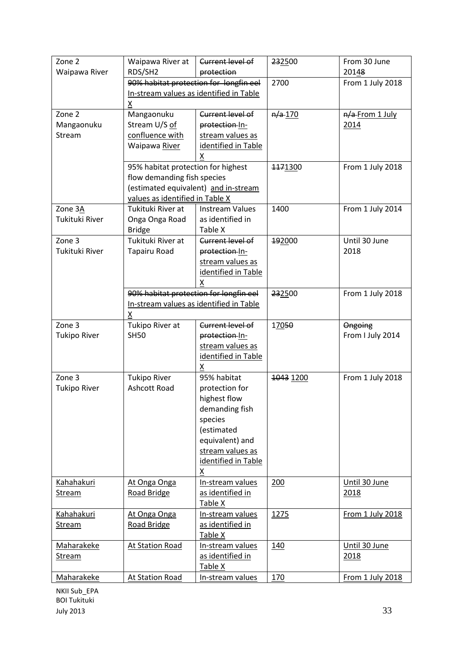| Zone 2              | Waipawa River at                                                    | Current level of            | 232500    | From 30 June     |
|---------------------|---------------------------------------------------------------------|-----------------------------|-----------|------------------|
| Waipawa River       | RDS/SH2                                                             | protection                  |           | 20148            |
|                     | 90% habitat protection for longfin eel                              |                             | 2700      | From 1 July 2018 |
|                     | In-stream values as identified in Table                             |                             |           |                  |
|                     | Χ                                                                   |                             |           |                  |
| Zone 2              | Mangaonuku                                                          | Current level of            | $n/a$ 170 | n/a-From 1 July  |
| Mangaonuku          | Stream U/S of                                                       | protection-In-              |           | 2014             |
| Stream              | confluence with                                                     | stream values as            |           |                  |
|                     | Waipawa River                                                       | identified in Table         |           |                  |
|                     |                                                                     | X                           |           |                  |
|                     | 95% habitat protection for highest                                  |                             | 1171300   | From 1 July 2018 |
|                     | flow demanding fish species<br>(estimated equivalent) and in-stream |                             |           |                  |
|                     | values as identified in Table X                                     |                             |           |                  |
| Zone 3A             | Tukituki River at                                                   | <b>Instream Values</b>      | 1400      | From 1 July 2014 |
| Tukituki River      | Onga Onga Road                                                      | as identified in            |           |                  |
|                     | <b>Bridge</b>                                                       | Table X                     |           |                  |
| Zone 3              | Tukituki River at                                                   | Current level of            | 192000    | Until 30 June    |
| Tukituki River      | Tapairu Road                                                        | protection In-              |           | 2018             |
|                     |                                                                     | stream values as            |           |                  |
|                     |                                                                     | identified in Table         |           |                  |
|                     |                                                                     |                             |           |                  |
|                     | 90% habitat protection for longfin eel                              |                             | 232500    | From 1 July 2018 |
|                     | In-stream values as identified in Table                             |                             |           |                  |
|                     | Χ                                                                   |                             |           |                  |
| Zone 3              | Tukipo River at                                                     | Current level of            | 17050     | Ongoing          |
| <b>Tukipo River</b> | <b>SH50</b>                                                         | protection-In-              |           | From I July 2014 |
|                     |                                                                     | stream values as            |           |                  |
|                     |                                                                     | identified in Table         |           |                  |
|                     |                                                                     |                             |           |                  |
|                     |                                                                     | x                           |           |                  |
| Zone 3              | <b>Tukipo River</b>                                                 | 95% habitat                 | 1043 1200 | From 1 July 2018 |
| <b>Tukipo River</b> | Ashcott Road                                                        | protection for              |           |                  |
|                     |                                                                     | highest flow                |           |                  |
|                     |                                                                     | demanding fish              |           |                  |
|                     |                                                                     | species                     |           |                  |
|                     |                                                                     | (estimated                  |           |                  |
|                     |                                                                     | equivalent) and             |           |                  |
|                     |                                                                     | stream values as            |           |                  |
|                     |                                                                     | identified in Table<br>X    |           |                  |
| <b>Kahahakuri</b>   | At Onga Onga                                                        | In-stream values            | 200       | Until 30 June    |
| Stream              | <b>Road Bridge</b>                                                  | as identified in            |           | 2018             |
|                     |                                                                     | Table X                     |           |                  |
| <b>Kahahakuri</b>   | At Onga Onga                                                        | In-stream values            | 1275      | From 1 July 2018 |
| <b>Stream</b>       | <b>Road Bridge</b>                                                  | as identified in            |           |                  |
|                     |                                                                     | Table X                     |           |                  |
| Maharakeke          | At Station Road                                                     | In-stream values            | 140       | Until 30 June    |
| Stream              |                                                                     | as identified in            |           | 2018             |
| Maharakeke          | At Station Road                                                     | Table X<br>In-stream values | 170       | From 1 July 2018 |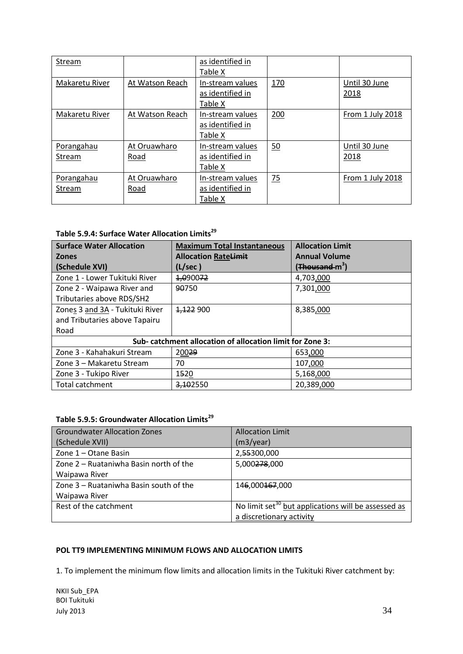| Stream         |                 | as identified in |     |                  |
|----------------|-----------------|------------------|-----|------------------|
|                |                 | Table X          |     |                  |
| Makaretu River | At Watson Reach | In-stream values | 170 | Until 30 June    |
|                |                 | as identified in |     | 2018             |
|                |                 | Table X          |     |                  |
| Makaretu River | At Watson Reach | In-stream values | 200 | From 1 July 2018 |
|                |                 | as identified in |     |                  |
|                |                 | Table X          |     |                  |
| Porangahau     | At Oruawharo    | In-stream values | 50  | Until 30 June    |
| <b>Stream</b>  | Road            | as identified in |     | 2018             |
|                |                 | Table X          |     |                  |
| Porangahau     | At Oruawharo    | In-stream values | 75  | From 1 July 2018 |
| Stream         | Road            | as identified in |     |                  |
|                |                 | Table X          |     |                  |

# **Table 5.9.4: Surface Water Allocation Limits<sup>29</sup>**

| <b>Surface Water Allocation</b> | <b>Maximum Total Instantaneous</b>                        | <b>Allocation Limit</b>                 |  |  |  |
|---------------------------------|-----------------------------------------------------------|-----------------------------------------|--|--|--|
| <b>Zones</b>                    | <b>Allocation Rate<del>Limit</del></b>                    | <b>Annual Volume</b>                    |  |  |  |
| (Schedule XVI)                  | (L/sec)                                                   | ( <del>Thousand </del> m <sup>3</sup> ) |  |  |  |
| Zone 1 - Lower Tukituki River   | 1,090072                                                  | 4,703,000                               |  |  |  |
| Zone 2 - Waipawa River and      | 90750                                                     | 7,301,000                               |  |  |  |
| Tributaries above RDS/SH2       |                                                           |                                         |  |  |  |
| Zones 3 and 3A - Tukituki River | 1,122 900                                                 | 8,385,000                               |  |  |  |
| and Tributaries above Tapairu   |                                                           |                                         |  |  |  |
| Road                            |                                                           |                                         |  |  |  |
|                                 | Sub- catchment allocation of allocation limit for Zone 3: |                                         |  |  |  |
| Zone 3 - Kahahakuri Stream      | 20029                                                     | 653,000                                 |  |  |  |
| Zone 3 - Makaretu Stream        | 70                                                        | 107,000                                 |  |  |  |
| Zone 3 - Tukipo River           | 1520                                                      | 5,168,000                               |  |  |  |
| <b>Total catchment</b>          | 3,102550                                                  | 20,389,000                              |  |  |  |

# **Table 5.9.5: Groundwater Allocation Limits<sup>29</sup>**

| <b>Groundwater Allocation Zones</b>    | <b>Allocation Limit</b>                                         |
|----------------------------------------|-----------------------------------------------------------------|
| (Schedule XVII)                        | (m3/year)                                                       |
| Zone 1 - Otane Basin                   | 2,55300,000                                                     |
| Zone 2 – Ruataniwha Basin north of the | 5,000278,000                                                    |
| Waipawa River                          |                                                                 |
| Zone 3 – Ruataniwha Basin south of the | 146,000167,000                                                  |
| Waipawa River                          |                                                                 |
| Rest of the catchment                  | No limit set <sup>30</sup> but applications will be assessed as |
|                                        | a discretionary activity                                        |

### **POL TT9 IMPLEMENTING MINIMUM FLOWS AND ALLOCATION LIMITS**

1. To implement the minimum flow limits and allocation limits in the Tukituki River catchment by: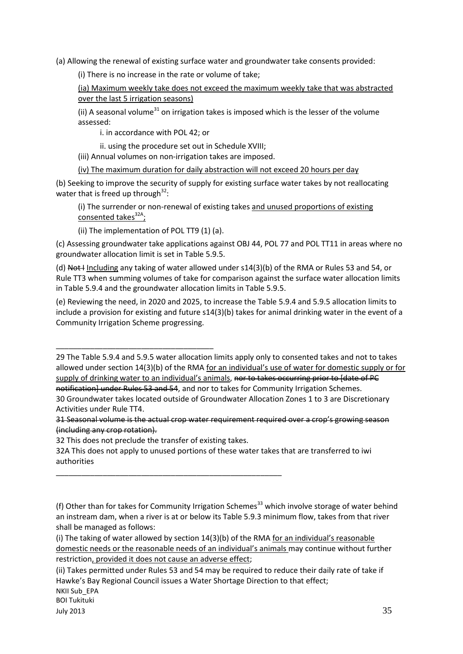(a) Allowing the renewal of existing surface water and groundwater take consents provided:

(i) There is no increase in the rate or volume of take;

(ia) Maximum weekly take does not exceed the maximum weekly take that was abstracted over the last 5 irrigation seasons)

(ii) A seasonal volume<sup>31</sup> on irrigation takes is imposed which is the lesser of the volume assessed:

i. in accordance with POL 42; or

ii. using the procedure set out in Schedule XVIII;

(iii) Annual volumes on non-irrigation takes are imposed.

(iv) The maximum duration for daily abstraction will not exceed 20 hours per day

(b) Seeking to improve the security of supply for existing surface water takes by not reallocating water that is freed up through $^{32}$ :

(i) The surrender or non-renewal of existing takes and unused proportions of existing consented takes<sup>32A</sup>;

(ii) The implementation of POL TT9 (1) (a).

(c) Assessing groundwater take applications against OBJ 44, POL 77 and POL TT11 in areas where no groundwater allocation limit is set in Table 5.9.5.

(d) Not I Including any taking of water allowed under s14(3)(b) of the RMA or Rules 53 and 54, or Rule TT3 when summing volumes of take for comparison against the surface water allocation limits in Table 5.9.4 and the groundwater allocation limits in Table 5.9.5.

(e) Reviewing the need, in 2020 and 2025, to increase the Table 5.9.4 and 5.9.5 allocation limits to include a provision for existing and future s14(3)(b) takes for animal drinking water in the event of a Community Irrigation Scheme progressing.

29 The Table 5.9.4 and 5.9.5 water allocation limits apply only to consented takes and not to takes allowed under section 14(3)(b) of the RMA for an individual's use of water for domestic supply or for supply of drinking water to an individual's animals, nor to takes occurring prior to [date of PC notification] under Rules 53 and 54, and nor to takes for Community Irrigation Schemes. 30 Groundwater takes located outside of Groundwater Allocation Zones 1 to 3 are Discretionary Activities under Rule TT4.

31 Seasonal volume is the actual crop water requirement required over a crop's growing season (including any crop rotation).

32 This does not preclude the transfer of existing takes.

\_\_\_\_\_\_\_\_\_\_\_\_\_\_\_\_\_\_\_\_\_\_\_\_\_\_\_\_\_\_\_\_\_\_\_\_\_\_\_\_\_\_\_\_\_\_\_\_\_\_\_\_\_

\_\_\_\_\_\_\_\_\_\_\_\_\_\_\_\_\_\_\_\_\_\_\_\_\_\_\_\_\_\_\_\_\_\_\_\_\_

32A This does not apply to unused portions of these water takes that are transferred to iwi authorities

<sup>(</sup>f) Other than for takes for Community Irrigation Schemes<sup>33</sup> which involve storage of water behind an instream dam, when a river is at or below its Table 5.9.3 minimum flow, takes from that river shall be managed as follows:

<sup>(</sup>i) The taking of water allowed by section 14(3)(b) of the RMA for an individual's reasonable domestic needs or the reasonable needs of an individual's animals may continue without further restriction, provided it does not cause an adverse effect;

NKII Sub\_EPA (ii) Takes permitted under Rules 53 and 54 may be required to reduce their daily rate of take if Hawke's Bay Regional Council issues a Water Shortage Direction to that effect;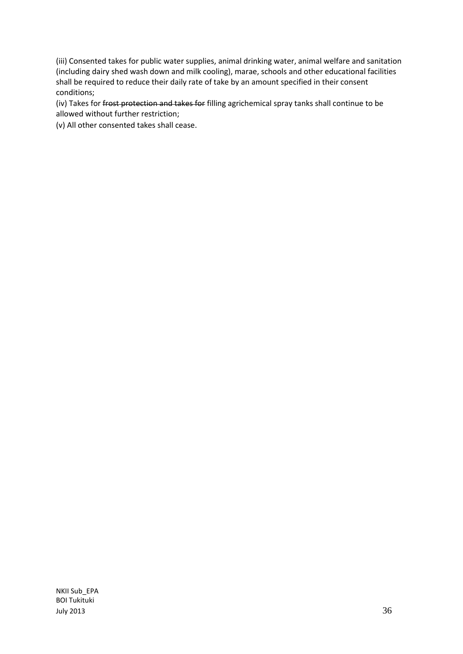(iii) Consented takes for public water supplies, animal drinking water, animal welfare and sanitation (including dairy shed wash down and milk cooling), marae, schools and other educational facilities shall be required to reduce their daily rate of take by an amount specified in their consent conditions;

(iv) Takes for frost protection and takes for filling agrichemical spray tanks shall continue to be allowed without further restriction;

(v) All other consented takes shall cease.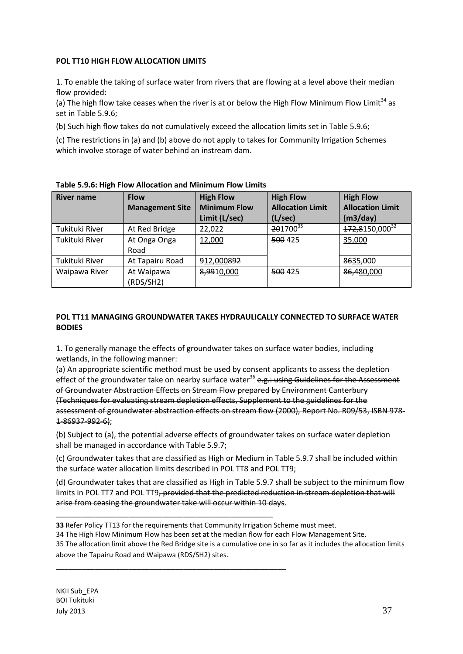## **POL TT10 HIGH FLOW ALLOCATION LIMITS**

1. To enable the taking of surface water from rivers that are flowing at a level above their median flow provided:

(a) The high flow take ceases when the river is at or below the High Flow Minimum Flow Limit<sup>34</sup> as set in Table 5.9.6;

(b) Such high flow takes do not cumulatively exceed the allocation limits set in Table 5.9.6;

(c) The restrictions in (a) and (b) above do not apply to takes for Community Irrigation Schemes which involve storage of water behind an instream dam.

| <b>River name</b> | <b>Flow</b><br><b>Management Site</b> | <b>High Flow</b><br><b>Minimum Flow</b><br>Limit (L/sec) | <b>High Flow</b><br><b>Allocation Limit</b><br>(L/sec) | <b>High Flow</b><br><b>Allocation Limit</b><br>(m3/day) |
|-------------------|---------------------------------------|----------------------------------------------------------|--------------------------------------------------------|---------------------------------------------------------|
| Tukituki River    | At Red Bridge                         | 22,022                                                   | 201700 <sup>35</sup>                                   | 172,8150,000 <sup>32</sup>                              |
| Tukituki River    | At Onga Onga<br>Road                  | 12,000                                                   | 500 425                                                | 35,000                                                  |
| Tukituki River    | At Tapairu Road                       | 912,000892                                               |                                                        | 8635,000                                                |
| Waipawa River     | At Waipawa<br>(RDS/SH2)               | 8,9910,000                                               | 500 425                                                | 86,480,000                                              |

**Table 5.9.6: High Flow Allocation and Minimum Flow Limits**

# **POL TT11 MANAGING GROUNDWATER TAKES HYDRAULICALLY CONNECTED TO SURFACE WATER BODIES**

1. To generally manage the effects of groundwater takes on surface water bodies, including wetlands, in the following manner:

(a) An appropriate scientific method must be used by consent applicants to assess the depletion effect of the groundwater take on nearby surface water<sup>36</sup> e.g.: using Guidelines for the Assessment of Groundwater Abstraction Effects on Stream Flow prepared by Environment Canterbury (Techniques for evaluating stream depletion effects, Supplement to the guidelines for the assessment of groundwater abstraction effects on stream flow (2000), Report No. R09/53, ISBN 978- 1-86937-992-6);

(b) Subject to (a), the potential adverse effects of groundwater takes on surface water depletion shall be managed in accordance with Table 5.9.7;

(c) Groundwater takes that are classified as High or Medium in Table 5.9.7 shall be included within the surface water allocation limits described in POL TT8 and POL TT9;

(d) Groundwater takes that are classified as High in Table 5.9.7 shall be subject to the minimum flow limits in POL TT7 and POL TT9, provided that the predicted reduction in stream depletion that will arise from ceasing the groundwater take will occur within 10 days.

**33** Refer Policy TT13 for the requirements that Community Irrigation Scheme must meet.

\_\_\_\_\_\_\_\_\_\_\_\_\_\_\_\_\_\_\_\_\_\_\_\_\_\_\_\_\_\_\_\_\_\_\_\_\_\_\_\_\_\_\_\_\_\_\_\_\_\_\_

**\_\_\_\_\_\_\_\_\_\_\_\_\_\_\_\_\_\_\_\_\_\_\_\_\_\_\_\_\_\_\_\_\_\_\_\_\_\_\_\_\_\_\_\_\_\_\_\_\_\_\_\_\_\_**

34 The High Flow Minimum Flow has been set at the median flow for each Flow Management Site.

35 The allocation limit above the Red Bridge site is a cumulative one in so far as it includes the allocation limits above the Tapairu Road and Waipawa (RDS/SH2) sites.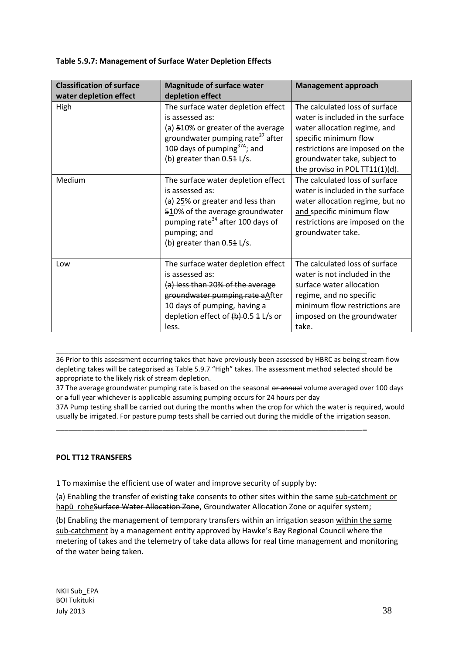| <b>Classification of surface</b><br>water depletion effect | <b>Magnitude of surface water</b><br>depletion effect                                                                                                                                                                      | <b>Management approach</b>                                                                                                                                                                                                       |
|------------------------------------------------------------|----------------------------------------------------------------------------------------------------------------------------------------------------------------------------------------------------------------------------|----------------------------------------------------------------------------------------------------------------------------------------------------------------------------------------------------------------------------------|
| High                                                       | The surface water depletion effect<br>is assessed as:<br>(a) 510% or greater of the average<br>groundwater pumping rate <sup>37</sup> after<br>100 days of pumping $37A$ ; and<br>(b) greater than 0.54 L/s.               | The calculated loss of surface<br>water is included in the surface<br>water allocation regime, and<br>specific minimum flow<br>restrictions are imposed on the<br>groundwater take, subject to<br>the proviso in POL TT11(1)(d). |
| Medium                                                     | The surface water depletion effect<br>is assessed as:<br>(a) 25% or greater and less than<br>510% of the average groundwater<br>pumping rate <sup>34</sup> after 100 days of<br>pumping; and<br>(b) greater than 0.54 L/s. | The calculated loss of surface<br>water is included in the surface<br>water allocation regime, but no<br>and specific minimum flow<br>restrictions are imposed on the<br>groundwater take.                                       |
| Low                                                        | The surface water depletion effect<br>is assessed as:<br>(a) less than 20% of the average<br>groundwater pumping rate aAfter<br>10 days of pumping, having a<br>depletion effect of $(b)$ -0.5 4 L/s or<br>less.           | The calculated loss of surface<br>water is not included in the<br>surface water allocation<br>regime, and no specific<br>minimum flow restrictions are<br>imposed on the groundwater<br>take.                                    |

### **Table 5.9.7: Management of Surface Water Depletion Effects**

36 Prior to this assessment occurring takes that have previously been assessed by HBRC as being stream flow depleting takes will be categorised as Table 5.9.7 "High" takes. The assessment method selected should be appropriate to the likely risk of stream depletion.

\_\_\_\_\_\_\_\_\_\_\_\_\_\_\_\_\_\_\_\_\_\_\_\_\_\_\_\_\_\_\_\_\_\_\_\_\_\_\_\_\_\_\_\_\_\_\_\_\_\_\_\_\_\_\_\_\_\_\_\_\_\_\_\_\_\_\_\_\_\_\_\_\_

\_\_\_\_\_\_\_\_\_\_\_\_\_\_\_\_\_\_\_\_\_\_\_\_\_\_\_\_\_\_\_\_\_\_\_\_\_\_\_\_\_\_\_\_\_\_\_\_\_\_\_\_\_\_\_\_\_\_\_\_\_\_\_\_\_\_\_\_\_\_\_\_**\_**

37 The average groundwater pumping rate is based on the seasonal or annual volume averaged over 100 days or a full year whichever is applicable assuming pumping occurs for 24 hours per day

37A Pump testing shall be carried out during the months when the crop for which the water is required, would usually be irrigated. For pasture pump tests shall be carried out during the middle of the irrigation season.

#### **POL TT12 TRANSFERS**

1 To maximise the efficient use of water and improve security of supply by:

(a) Enabling the transfer of existing take consents to other sites within the same sub-catchment or hapū roheSurface Water Allocation Zone, Groundwater Allocation Zone or aquifer system;

(b) Enabling the management of temporary transfers within an irrigation season within the same sub-catchment by a management entity approved by Hawke's Bay Regional Council where the metering of takes and the telemetry of take data allows for real time management and monitoring of the water being taken.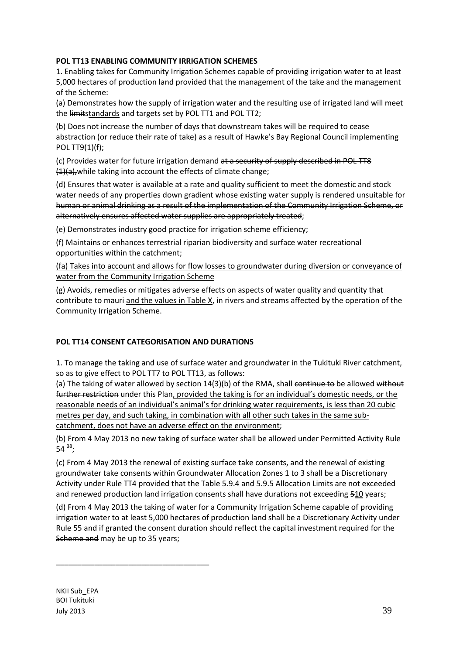# **POL TT13 ENABLING COMMUNITY IRRIGATION SCHEMES**

1. Enabling takes for Community Irrigation Schemes capable of providing irrigation water to at least 5,000 hectares of production land provided that the management of the take and the management of the Scheme:

(a) Demonstrates how the supply of irrigation water and the resulting use of irrigated land will meet the limitstandards and targets set by POL TT1 and POL TT2;

(b) Does not increase the number of days that downstream takes will be required to cease abstraction (or reduce their rate of take) as a result of Hawke's Bay Regional Council implementing POL TT9(1)(f);

(c) Provides water for future irrigation demand at a security of supply described in POL TT8  $(1)(a)$ , while taking into account the effects of climate change;

(d) Ensures that water is available at a rate and quality sufficient to meet the domestic and stock water needs of any properties down gradient whose existing water supply is rendered unsuitable for human or animal drinking as a result of the implementation of the Community Irrigation Scheme, or alternatively ensures affected water supplies are appropriately treated;

(e) Demonstrates industry good practice for irrigation scheme efficiency;

(f) Maintains or enhances terrestrial riparian biodiversity and surface water recreational opportunities within the catchment;

(fa) Takes into account and allows for flow losses to groundwater during diversion or conveyance of water from the Community Irrigation Scheme

(g) Avoids, remedies or mitigates adverse effects on aspects of water quality and quantity that contribute to mauri and the values in Table X, in rivers and streams affected by the operation of the Community Irrigation Scheme.

# **POL TT14 CONSENT CATEGORISATION AND DURATIONS**

1. To manage the taking and use of surface water and groundwater in the Tukituki River catchment, so as to give effect to POL TT7 to POL TT13, as follows:

(a) The taking of water allowed by section 14(3)(b) of the RMA, shall continue to be allowed without further restriction under this Plan, provided the taking is for an individual's domestic needs, or the reasonable needs of an individual's animal's for drinking water requirements, is less than 20 cubic metres per day, and such taking, in combination with all other such takes in the same subcatchment, does not have an adverse effect on the environment;

(b) From 4 May 2013 no new taking of surface water shall be allowed under Permitted Activity Rule 54  $38;$ 

(c) From 4 May 2013 the renewal of existing surface take consents, and the renewal of existing groundwater take consents within Groundwater Allocation Zones 1 to 3 shall be a Discretionary Activity under Rule TT4 provided that the Table 5.9.4 and 5.9.5 Allocation Limits are not exceeded and renewed production land irrigation consents shall have durations not exceeding 510 years;

(d) From 4 May 2013 the taking of water for a Community Irrigation Scheme capable of providing irrigation water to at least 5,000 hectares of production land shall be a Discretionary Activity under Rule 55 and if granted the consent duration should reflect the capital investment required for the Scheme and may be up to 35 years;

NKII Sub\_EPA BOI Tukituki July 2013  $39$ 

\_\_\_\_\_\_\_\_\_\_\_\_\_\_\_\_\_\_\_\_\_\_\_\_\_\_\_\_\_\_\_\_\_\_\_\_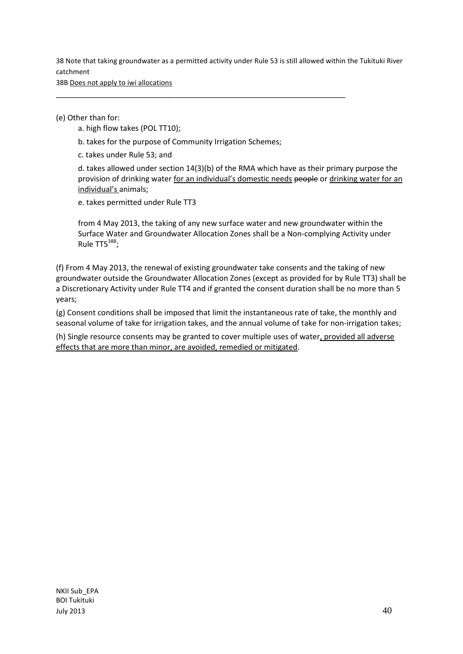38 Note that taking groundwater as a permitted activity under Rule 53 is still allowed within the Tukituki River catchment

38B Does not apply to iwi allocations

(e) Other than for:

a. high flow takes (POL TT10);

b. takes for the purpose of Community Irrigation Schemes;

\_\_\_\_\_\_\_\_\_\_\_\_\_\_\_\_\_\_\_\_\_\_\_\_\_\_\_\_\_\_\_\_\_\_\_\_\_\_\_\_\_\_\_\_\_\_\_\_\_\_\_\_\_\_\_\_\_\_\_\_\_\_\_\_\_\_\_\_

c. takes under Rule 53; and

d. takes allowed under section 14(3)(b) of the RMA which have as their primary purpose the provision of drinking water for an individual's domestic needs people or drinking water for an individual's animals;

e. takes permitted under Rule TT3

from 4 May 2013, the taking of any new surface water and new groundwater within the Surface Water and Groundwater Allocation Zones shall be a Non-complying Activity under Rule TT5<sup>38B</sup>;

(f) From 4 May 2013, the renewal of existing groundwater take consents and the taking of new groundwater outside the Groundwater Allocation Zones (except as provided for by Rule TT3) shall be a Discretionary Activity under Rule TT4 and if granted the consent duration shall be no more than 5 years;

(g) Consent conditions shall be imposed that limit the instantaneous rate of take, the monthly and seasonal volume of take for irrigation takes, and the annual volume of take for non-irrigation takes;

(h) Single resource consents may be granted to cover multiple uses of water, provided all adverse effects that are more than minor, are avoided, remedied or mitigated.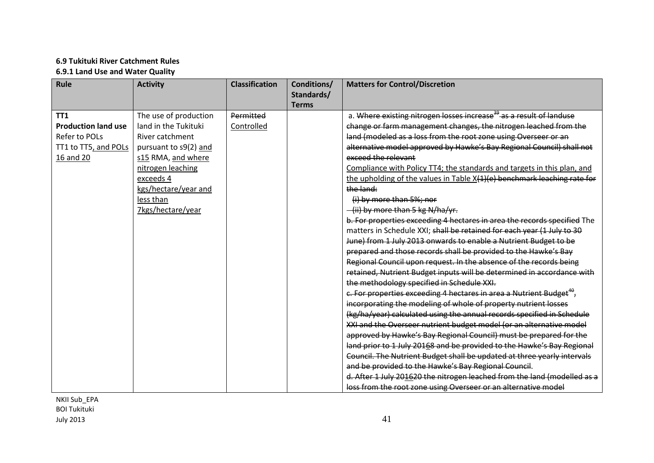# **6.9 Tukituki River Catchment Rules 6.9.1 Land Use and Water Quality**

| Rule                       | <b>Activity</b>       | <b>Classification</b> | Conditions/<br>Standards/<br><b>Terms</b> | <b>Matters for Control/Discretion</b>                                            |
|----------------------------|-----------------------|-----------------------|-------------------------------------------|----------------------------------------------------------------------------------|
| TT <sub>1</sub>            | The use of production | Permitted             |                                           | a. Where existing nitrogen losses increase <sup>39</sup> as a result of landuse  |
| <b>Production land use</b> | land in the Tukituki  | Controlled            |                                           | change or farm management changes, the nitrogen leached from the                 |
| Refer to POLs              | River catchment       |                       |                                           | land (modeled as a loss from the root zone using Overseer or an                  |
| TT1 to TT5, and POLs       | pursuant to s9(2) and |                       |                                           | alternative model approved by Hawke's Bay Regional Council) shall not            |
| 16 and 20                  | s15 RMA, and where    |                       |                                           | exceed the relevant                                                              |
|                            | nitrogen leaching     |                       |                                           | Compliance with Policy TT4; the standards and targets in this plan, and          |
|                            | exceeds 4             |                       |                                           | the upholding of the values in Table X(1)(e) benchmark leaching rate for         |
|                            | kgs/hectare/year and  |                       |                                           | the land:                                                                        |
|                            | less than             |                       |                                           | (i) by more than 5%; nor                                                         |
|                            | 7kgs/hectare/year     |                       |                                           | -(ii) by more than 5 kg N/ha/yr.                                                 |
|                            |                       |                       |                                           | b. For properties exceeding 4 hectares in area the records specified The         |
|                            |                       |                       |                                           | matters in Schedule XXI; shall be retained for each year (1 July to 30           |
|                            |                       |                       |                                           | June) from 1 July 2013 onwards to enable a Nutrient Budget to be                 |
|                            |                       |                       |                                           | prepared and those records shall be provided to the Hawke's Bay                  |
|                            |                       |                       |                                           | Regional Council upon request. In the absence of the records being               |
|                            |                       |                       |                                           | retained, Nutrient Budget inputs will be determined in accordance with           |
|                            |                       |                       |                                           | the methodology specified in Schedule XXI.                                       |
|                            |                       |                       |                                           | e. For properties exceeding 4 hectares in area a Nutrient Budget <sup>49</sup> , |
|                            |                       |                       |                                           | incorporating the modeling of whole of property nutrient losses                  |
|                            |                       |                       |                                           | (kg/ha/year) calculated using the annual records specified in Schedule           |
|                            |                       |                       |                                           | XXI and the Overseer nutrient budget model (or an alternative model              |
|                            |                       |                       |                                           | approved by Hawke's Bay Regional Council) must be prepared for the               |
|                            |                       |                       |                                           | land prior to 1 July 20168 and be provided to the Hawke's Bay Regional           |
|                            |                       |                       |                                           | Council. The Nutrient Budget shall be updated at three yearly intervals          |
|                            |                       |                       |                                           | and be provided to the Hawke's Bay Regional Council.                             |
|                            |                       |                       |                                           | d. After 1 July 201620 the nitrogen leached from the land (modelled as a         |
|                            |                       |                       |                                           | loss from the root zone using Overseer or an alternative model                   |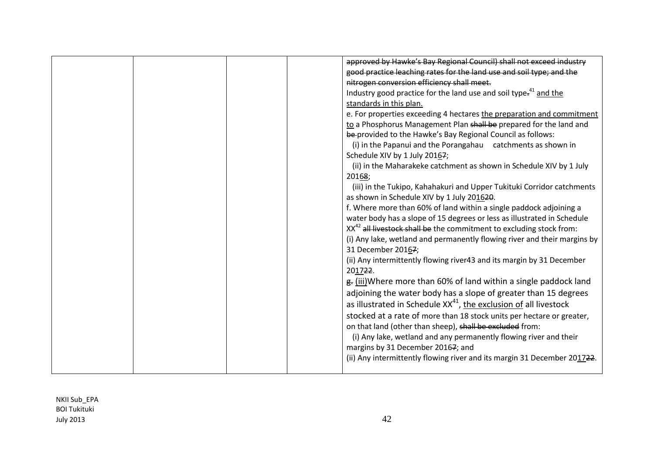|  |  | approved by Hawke's Bay Regional Council) shall not exceed industry             |
|--|--|---------------------------------------------------------------------------------|
|  |  | good practice leaching rates for the land use and soil type; and the            |
|  |  | nitrogen conversion efficiency shall meet.                                      |
|  |  | Industry good practice for the land use and soil type. <sup>41</sup> and the    |
|  |  |                                                                                 |
|  |  | standards in this plan.                                                         |
|  |  | e. For properties exceeding 4 hectares the preparation and commitment           |
|  |  | to a Phosphorus Management Plan shall be prepared for the land and              |
|  |  | be-provided to the Hawke's Bay Regional Council as follows:                     |
|  |  | (i) in the Papanui and the Porangahau catchments as shown in                    |
|  |  | Schedule XIV by 1 July 20167;                                                   |
|  |  | (ii) in the Maharakeke catchment as shown in Schedule XIV by 1 July             |
|  |  | 20168;                                                                          |
|  |  | (iii) in the Tukipo, Kahahakuri and Upper Tukituki Corridor catchments          |
|  |  | as shown in Schedule XIV by 1 July 201620.                                      |
|  |  | f. Where more than 60% of land within a single paddock adjoining a              |
|  |  | water body has a slope of 15 degrees or less as illustrated in Schedule         |
|  |  | XX <sup>42</sup> all livestock shall be the commitment to excluding stock from: |
|  |  | (i) Any lake, wetland and permanently flowing river and their margins by        |
|  |  | 31 December 20167;                                                              |
|  |  | (ii) Any intermittently flowing river43 and its margin by 31 December           |
|  |  | 201722.                                                                         |
|  |  | g. (iii) Where more than 60% of land within a single paddock land               |
|  |  |                                                                                 |
|  |  | adjoining the water body has a slope of greater than 15 degrees                 |
|  |  | as illustrated in Schedule XX <sup>41</sup> , the exclusion of all livestock    |
|  |  | stocked at a rate of more than 18 stock units per hectare or greater,           |
|  |  | on that land (other than sheep), shall be excluded from:                        |
|  |  | (i) Any lake, wetland and any permanently flowing river and their               |
|  |  | margins by 31 December 20167; and                                               |
|  |  | (ii) Any intermittently flowing river and its margin 31 December 201722.        |
|  |  |                                                                                 |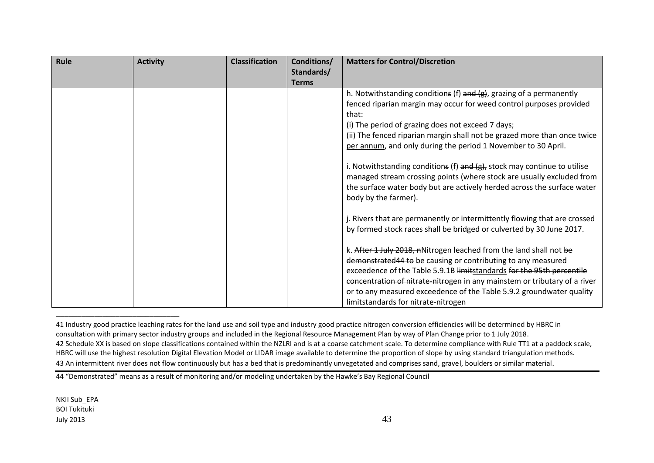| Rule | <b>Activity</b> | <b>Classification</b> | Conditions/  | <b>Matters for Control/Discretion</b>                                     |
|------|-----------------|-----------------------|--------------|---------------------------------------------------------------------------|
|      |                 |                       | Standards/   |                                                                           |
|      |                 |                       | <b>Terms</b> |                                                                           |
|      |                 |                       |              | h. Notwithstanding conditions (f) and $(g)$ , grazing of a permanently    |
|      |                 |                       |              | fenced riparian margin may occur for weed control purposes provided       |
|      |                 |                       |              | that:                                                                     |
|      |                 |                       |              | (i) The period of grazing does not exceed 7 days;                         |
|      |                 |                       |              | (ii) The fenced riparian margin shall not be grazed more than once twice  |
|      |                 |                       |              | per annum, and only during the period 1 November to 30 April.             |
|      |                 |                       |              |                                                                           |
|      |                 |                       |              | i. Notwithstanding conditions (f) and (g), stock may continue to utilise  |
|      |                 |                       |              | managed stream crossing points (where stock are usually excluded from     |
|      |                 |                       |              | the surface water body but are actively herded across the surface water   |
|      |                 |                       |              | body by the farmer).                                                      |
|      |                 |                       |              |                                                                           |
|      |                 |                       |              | j. Rivers that are permanently or intermittently flowing that are crossed |
|      |                 |                       |              | by formed stock races shall be bridged or culverted by 30 June 2017.      |
|      |                 |                       |              |                                                                           |
|      |                 |                       |              | k. After 1 July 2018, nNitrogen leached from the land shall not be        |
|      |                 |                       |              | demonstrated 44 to be causing or contributing to any measured             |
|      |                 |                       |              | exceedence of the Table 5.9.1B limitstandards for the 95th percentile     |
|      |                 |                       |              | concentration of nitrate-nitrogen in any mainstem or tributary of a river |
|      |                 |                       |              | or to any measured exceedence of the Table 5.9.2 groundwater quality      |
|      |                 |                       |              | limitstandards for nitrate-nitrogen                                       |

<sup>41</sup> Industry good practice leaching rates for the land use and soil type and industry good practice nitrogen conversion efficiencies will be determined by HBRC in consultation with primary sector industry groups and included in the Regional Resource Management Plan by way of Plan Change prior to 1 July 2018. 42 Schedule XX is based on slope classifications contained within the NZLRI and is at a coarse catchment scale. To determine compliance with Rule TT1 at a paddock scale, HBRC will use the highest resolution Digital Elevation Model or LIDAR image available to determine the proportion of slope by using standard triangulation methods. 43 An intermittent river does not flow continuously but has a bed that is predominantly unvegetated and comprises sand, gravel, boulders or similar material.

\_\_\_\_\_\_\_\_\_\_\_\_\_\_\_\_\_\_\_\_\_\_\_\_\_\_\_\_\_

<sup>44 &</sup>quot;Demonstrated" means as a result of monitoring and/or modeling undertaken by the Hawke's Bay Regional Council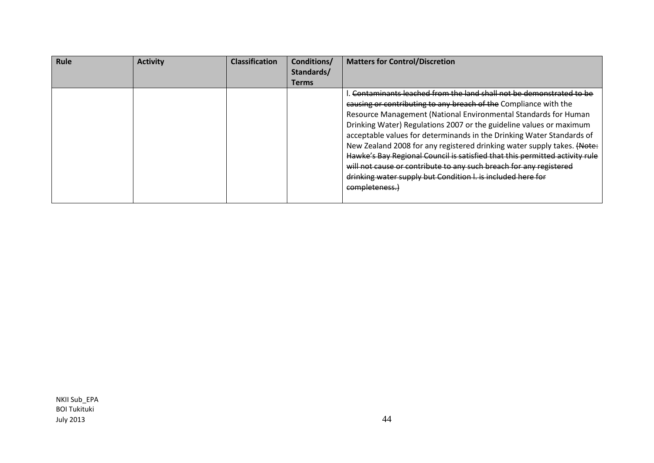| <b>Rule</b> | <b>Activity</b> | <b>Classification</b> | Conditions/  | <b>Matters for Control/Discretion</b>                                                                                                                                                                                                                                                                                                                                                                                                                                                                               |
|-------------|-----------------|-----------------------|--------------|---------------------------------------------------------------------------------------------------------------------------------------------------------------------------------------------------------------------------------------------------------------------------------------------------------------------------------------------------------------------------------------------------------------------------------------------------------------------------------------------------------------------|
|             |                 |                       | Standards/   |                                                                                                                                                                                                                                                                                                                                                                                                                                                                                                                     |
|             |                 |                       | <b>Terms</b> |                                                                                                                                                                                                                                                                                                                                                                                                                                                                                                                     |
|             |                 |                       |              | Contaminants leached from the land shall not be demonstrated to be<br>causing or contributing to any breach of the Compliance with the<br>Resource Management (National Environmental Standards for Human<br>Drinking Water) Regulations 2007 or the guideline values or maximum<br>acceptable values for determinands in the Drinking Water Standards of<br>New Zealand 2008 for any registered drinking water supply takes. (Note:<br>Hawke's Bay Regional Council is satisfied that this permitted activity rule |
|             |                 |                       |              | will not cause or contribute to any such breach for any registered<br>drinking water supply but Condition I. is included here for<br>completeness.                                                                                                                                                                                                                                                                                                                                                                  |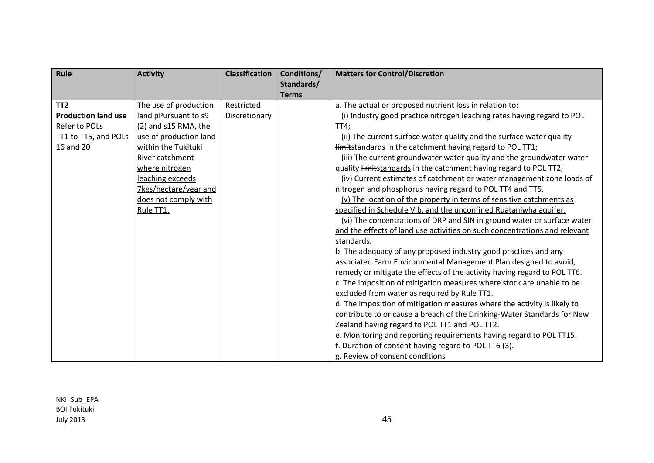| Rule                       | <b>Activity</b>        | <b>Classification</b> | Conditions/  | <b>Matters for Control/Discretion</b>                                      |
|----------------------------|------------------------|-----------------------|--------------|----------------------------------------------------------------------------|
|                            |                        |                       | Standards/   |                                                                            |
|                            |                        |                       | <b>Terms</b> |                                                                            |
| TT <sub>2</sub>            | The use of production  | Restricted            |              | a. The actual or proposed nutrient loss in relation to:                    |
| <b>Production land use</b> | land pPursuant to s9   | Discretionary         |              | (i) Industry good practice nitrogen leaching rates having regard to POL    |
| Refer to POLs              | (2) and s15 RMA, the   |                       |              | TT4;                                                                       |
| TT1 to TT5, and POLs       | use of production land |                       |              | (ii) The current surface water quality and the surface water quality       |
| 16 and 20                  | within the Tukituki    |                       |              | limitstandards in the catchment having regard to POL TT1;                  |
|                            | River catchment        |                       |              | (iii) The current groundwater water quality and the groundwater water      |
|                            | where nitrogen         |                       |              | quality limitstandards in the catchment having regard to POL TT2;          |
|                            | leaching exceeds       |                       |              | (iv) Current estimates of catchment or water management zone loads of      |
|                            | 7kgs/hectare/year and  |                       |              | nitrogen and phosphorus having regard to POL TT4 and TT5.                  |
|                            | does not comply with   |                       |              | (v) The location of the property in terms of sensitive catchments as       |
|                            | Rule TT1.              |                       |              | specified in Schedule VIb, and the unconfined Ruataniwha aquifer.          |
|                            |                        |                       |              | (vi) The concentrations of DRP and SIN in ground water or surface water    |
|                            |                        |                       |              | and the effects of land use activities on such concentrations and relevant |
|                            |                        |                       |              | standards.                                                                 |
|                            |                        |                       |              | b. The adequacy of any proposed industry good practices and any            |
|                            |                        |                       |              | associated Farm Environmental Management Plan designed to avoid,           |
|                            |                        |                       |              | remedy or mitigate the effects of the activity having regard to POL TT6.   |
|                            |                        |                       |              | c. The imposition of mitigation measures where stock are unable to be      |
|                            |                        |                       |              | excluded from water as required by Rule TT1.                               |
|                            |                        |                       |              | d. The imposition of mitigation measures where the activity is likely to   |
|                            |                        |                       |              | contribute to or cause a breach of the Drinking-Water Standards for New    |
|                            |                        |                       |              | Zealand having regard to POL TT1 and POL TT2.                              |
|                            |                        |                       |              | e. Monitoring and reporting requirements having regard to POL TT15.        |
|                            |                        |                       |              | f. Duration of consent having regard to POL TT6 (3).                       |
|                            |                        |                       |              | g. Review of consent conditions                                            |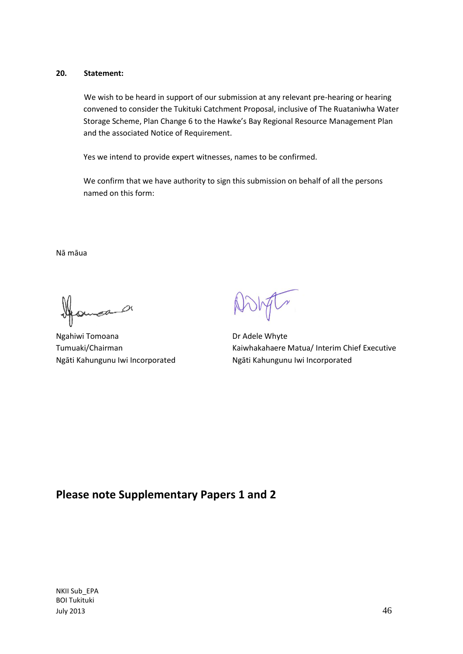# **20. Statement:**

We wish to be heard in support of our submission at any relevant pre-hearing or hearing convened to consider the Tukituki Catchment Proposal, inclusive of The Ruataniwha Water Storage Scheme, Plan Change 6 to the Hawke's Bay Regional Resource Management Plan and the associated Notice of Requirement.

Yes we intend to provide expert witnesses, names to be confirmed.

We confirm that we have authority to sign this submission on behalf of all the persons named on this form:

Nā māua

 $\sigma$ 

Ngahiwi Tomoana Dr Adele Whyte Ngāti Kahungunu Iwi Incorporated Ngāti Kahungunu Iwi Incorporated

Tumuaki/Chairman **Kaiwhakahaere Matua/ Interim Chief Executive** 

# **Please note Supplementary Papers 1 and 2**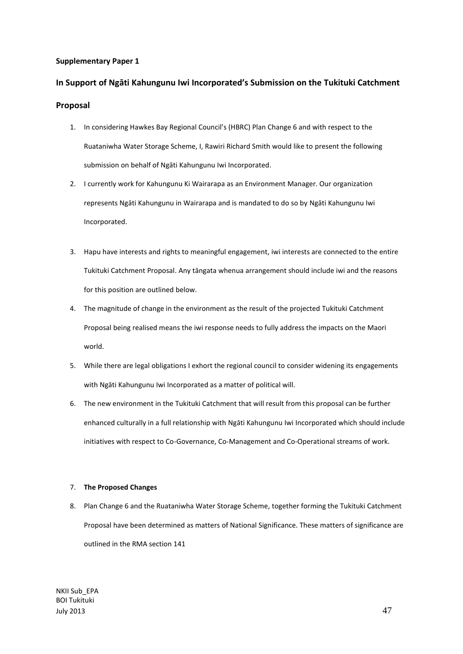#### **Supplementary Paper 1**

# **In Support of Ngāti Kahungunu Iwi Incorporated's Submission on the Tukituki Catchment Proposal**

- 1. In considering Hawkes Bay Regional Council's (HBRC) Plan Change 6 and with respect to the Ruataniwha Water Storage Scheme, I, Rawiri Richard Smith would like to present the following submission on behalf of Ngāti Kahungunu Iwi Incorporated.
- 2. I currently work for Kahungunu Ki Wairarapa as an Environment Manager. Our organization represents Ngāti Kahungunu in Wairarapa and is mandated to do so by Ngāti Kahungunu Iwi Incorporated.
- 3. Hapu have interests and rights to meaningful engagement, iwi interests are connected to the entire Tukituki Catchment Proposal. Any tāngata whenua arrangement should include iwi and the reasons for this position are outlined below.
- 4. The magnitude of change in the environment as the result of the projected Tukituki Catchment Proposal being realised means the iwi response needs to fully address the impacts on the Maori world.
- 5. While there are legal obligations I exhort the regional council to consider widening its engagements with Ngāti Kahungunu Iwi Incorporated as a matter of political will.
- 6. The new environment in the Tukituki Catchment that will result from this proposal can be further enhanced culturally in a full relationship with Ngāti Kahungunu Iwi Incorporated which should include initiatives with respect to Co-Governance, Co-Management and Co-Operational streams of work.

#### 7. **The Proposed Changes**

8. Plan Change 6 and the Ruataniwha Water Storage Scheme, together forming the Tukituki Catchment Proposal have been determined as matters of National Significance. These matters of significance are outlined in the RMA section 141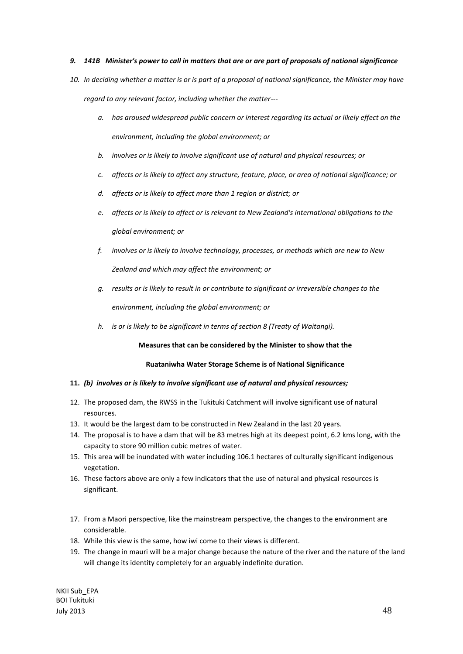#### *9. 141B Minister's power to call in matters that are or are part of proposals of national significance*

- *10. In deciding whether a matter is or is part of a proposal of national significance, the Minister may have regard to any relevant factor, including whether the matter--*
	- *a. has aroused widespread public concern or interest regarding its actual or likely effect on the environment, including the global environment; or*
	- *b. involves or is likely to involve significant use of natural and physical resources; or*
	- *c. affects or is likely to affect any structure, feature, place, or area of national significance; or*
	- *d. affects or is likely to affect more than 1 region or district; or*
	- *e. affects or is likely to affect or is relevant to New Zealand's international obligations to the global environment; or*
	- *f. involves or is likely to involve technology, processes, or methods which are new to New Zealand and which may affect the environment; or*
	- *g. results or is likely to result in or contribute to significant or irreversible changes to the environment, including the global environment; or*
	- *h. is or is likely to be significant in terms of section 8 (Treaty of Waitangi).*

**Measures that can be considered by the Minister to show that the**

#### **Ruataniwha Water Storage Scheme is of National Significance**

#### **11.** *(b) involves or is likely to involve significant use of natural and physical resources;*

- 12. The proposed dam, the RWSS in the Tukituki Catchment will involve significant use of natural resources.
- 13. It would be the largest dam to be constructed in New Zealand in the last 20 years.
- 14. The proposal is to have a dam that will be 83 metres high at its deepest point, 6.2 kms long, with the capacity to store 90 million cubic metres of water.
- 15. This area will be inundated with water including 106.1 hectares of culturally significant indigenous vegetation.
- 16. These factors above are only a few indicators that the use of natural and physical resources is significant.
- 17. From a Maori perspective, like the mainstream perspective, the changes to the environment are considerable.
- 18. While this view is the same, how iwi come to their views is different.
- 19. The change in mauri will be a major change because the nature of the river and the nature of the land will change its identity completely for an arguably indefinite duration.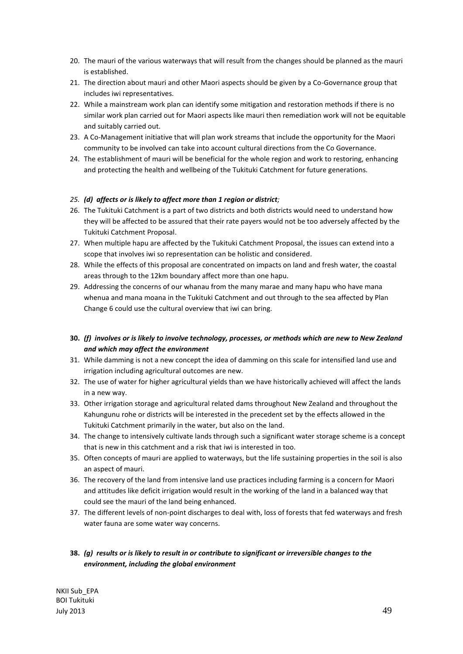- 20. The mauri of the various waterways that will result from the changes should be planned as the mauri is established.
- 21. The direction about mauri and other Maori aspects should be given by a Co-Governance group that includes iwi representatives.
- 22. While a mainstream work plan can identify some mitigation and restoration methods if there is no similar work plan carried out for Maori aspects like mauri then remediation work will not be equitable and suitably carried out.
- 23. A Co-Management initiative that will plan work streams that include the opportunity for the Maori community to be involved can take into account cultural directions from the Co Governance.
- 24. The establishment of mauri will be beneficial for the whole region and work to restoring, enhancing and protecting the health and wellbeing of the Tukituki Catchment for future generations.

#### *25. (d) affects or is likely to affect more than 1 region or district;*

- 26. The Tukituki Catchment is a part of two districts and both districts would need to understand how they will be affected to be assured that their rate payers would not be too adversely affected by the Tukituki Catchment Proposal.
- 27. When multiple hapu are affected by the Tukituki Catchment Proposal, the issues can extend into a scope that involves iwi so representation can be holistic and considered.
- 28. While the effects of this proposal are concentrated on impacts on land and fresh water, the coastal areas through to the 12km boundary affect more than one hapu.
- 29. Addressing the concerns of our whanau from the many marae and many hapu who have mana whenua and mana moana in the Tukituki Catchment and out through to the sea affected by Plan Change 6 could use the cultural overview that iwi can bring.
- **30.** *(f) involves or is likely to involve technology, processes, or methods which are new to New Zealand and which may affect the environment*
- 31. While damming is not a new concept the idea of damming on this scale for intensified land use and irrigation including agricultural outcomes are new.
- 32. The use of water for higher agricultural yields than we have historically achieved will affect the lands in a new way.
- 33. Other irrigation storage and agricultural related dams throughout New Zealand and throughout the Kahungunu rohe or districts will be interested in the precedent set by the effects allowed in the Tukituki Catchment primarily in the water, but also on the land.
- 34. The change to intensively cultivate lands through such a significant water storage scheme is a concept that is new in this catchment and a risk that iwi is interested in too.
- 35. Often concepts of mauri are applied to waterways, but the life sustaining properties in the soil is also an aspect of mauri.
- 36. The recovery of the land from intensive land use practices including farming is a concern for Maori and attitudes like deficit irrigation would result in the working of the land in a balanced way that could see the mauri of the land being enhanced.
- 37. The different levels of non-point discharges to deal with, loss of forests that fed waterways and fresh water fauna are some water way concerns.

# **38.** *(g) results or is likely to result in or contribute to significant or irreversible changes to the environment, including the global environment*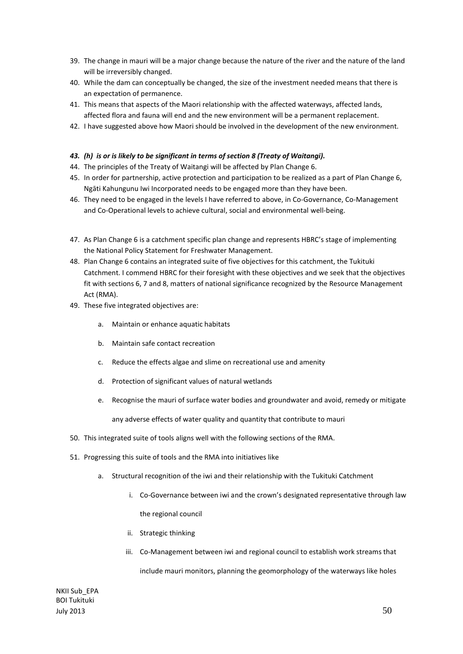- 39. The change in mauri will be a major change because the nature of the river and the nature of the land will be irreversibly changed.
- 40. While the dam can conceptually be changed, the size of the investment needed means that there is an expectation of permanence.
- 41. This means that aspects of the Maori relationship with the affected waterways, affected lands, affected flora and fauna will end and the new environment will be a permanent replacement.
- 42. I have suggested above how Maori should be involved in the development of the new environment.

#### *43. (h) is or is likely to be significant in terms of section 8 (Treaty of Waitangi).*

- 44. The principles of the Treaty of Waitangi will be affected by Plan Change 6.
- 45. In order for partnership, active protection and participation to be realized as a part of Plan Change 6, Ngāti Kahungunu Iwi Incorporated needs to be engaged more than they have been.
- 46. They need to be engaged in the levels I have referred to above, in Co-Governance, Co-Management and Co-Operational levels to achieve cultural, social and environmental well-being.
- 47. As Plan Change 6 is a catchment specific plan change and represents HBRC's stage of implementing the National Policy Statement for Freshwater Management.
- 48. Plan Change 6 contains an integrated suite of five objectives for this catchment, the Tukituki Catchment. I commend HBRC for their foresight with these objectives and we seek that the objectives fit with sections 6, 7 and 8, matters of national significance recognized by the Resource Management Act (RMA).
- 49. These five integrated objectives are:
	- a. Maintain or enhance aquatic habitats
	- b. Maintain safe contact recreation
	- c. Reduce the effects algae and slime on recreational use and amenity
	- d. Protection of significant values of natural wetlands
	- e. Recognise the mauri of surface water bodies and groundwater and avoid, remedy or mitigate

any adverse effects of water quality and quantity that contribute to mauri

- 50. This integrated suite of tools aligns well with the following sections of the RMA.
- 51. Progressing this suite of tools and the RMA into initiatives like
	- a. Structural recognition of the iwi and their relationship with the Tukituki Catchment
		- i. Co-Governance between iwi and the crown's designated representative through law the regional council
		- ii. Strategic thinking
		- iii. Co-Management between iwi and regional council to establish work streams that include mauri monitors, planning the geomorphology of the waterways like holes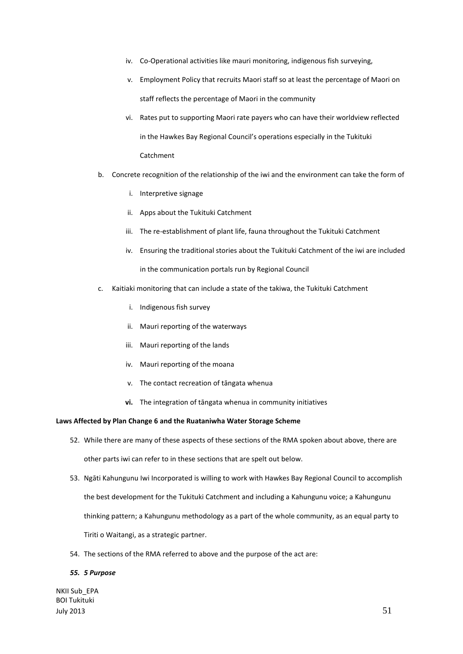- iv. Co-Operational activities like mauri monitoring, indigenous fish surveying,
- v. Employment Policy that recruits Maori staff so at least the percentage of Maori on staff reflects the percentage of Maori in the community
- vi. Rates put to supporting Maori rate payers who can have their worldview reflected in the Hawkes Bay Regional Council's operations especially in the Tukituki Catchment
- b. Concrete recognition of the relationship of the iwi and the environment can take the form of
	- i. Interpretive signage
	- ii. Apps about the Tukituki Catchment
	- iii. The re-establishment of plant life, fauna throughout the Tukituki Catchment
	- iv. Ensuring the traditional stories about the Tukituki Catchment of the iwi are included in the communication portals run by Regional Council
- c. Kaitiaki monitoring that can include a state of the takiwa, the Tukituki Catchment
	- i. Indigenous fish survey
	- ii. Mauri reporting of the waterways
	- iii. Mauri reporting of the lands
	- iv. Mauri reporting of the moana
	- v. The contact recreation of tāngata whenua
	- **vi.** The integration of tāngata whenua in community initiatives

#### **Laws Affected by Plan Change 6 and the Ruataniwha Water Storage Scheme**

- 52. While there are many of these aspects of these sections of the RMA spoken about above, there are other parts iwi can refer to in these sections that are spelt out below.
- 53. Ngāti Kahungunu Iwi Incorporated is willing to work with Hawkes Bay Regional Council to accomplish the best development for the Tukituki Catchment and including a Kahungunu voice; a Kahungunu thinking pattern; a Kahungunu methodology as a part of the whole community, as an equal party to Tiriti o Waitangi, as a strategic partner.
- 54. The sections of the RMA referred to above and the purpose of the act are:

#### *55. 5 Purpose*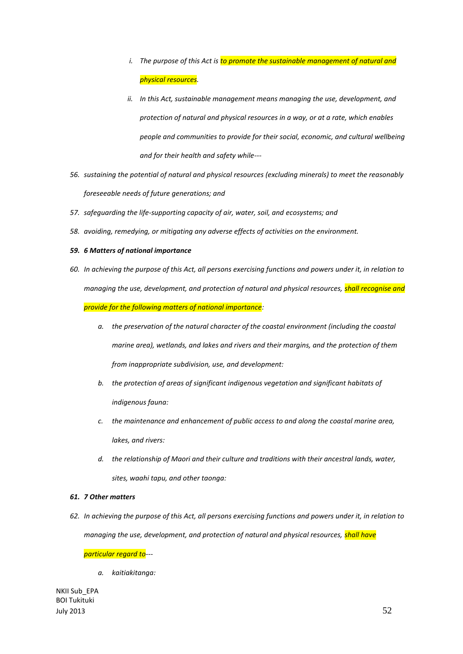- *i.* The purpose of this Act is to promote the sustainable management of natural and *physical resources.*
- *ii. In this Act, sustainable management means managing the use, development, and protection of natural and physical resources in a way, or at a rate, which enables people and communities to provide for their social, economic, and cultural wellbeing and for their health and safety while---*
- *56. sustaining the potential of natural and physical resources (excluding minerals) to meet the reasonably foreseeable needs of future generations; and*
- *57. safeguarding the life-supporting capacity of air, water, soil, and ecosystems; and*
- *58. avoiding, remedying, or mitigating any adverse effects of activities on the environment.*
- *59. 6 Matters of national importance*
- *60. In achieving the purpose of this Act, all persons exercising functions and powers under it, in relation to managing the use, development, and protection of natural and physical resources, shall recognise and provide for the following matters of national importance:*
	- *a. the preservation of the natural character of the coastal environment (including the coastal marine area), wetlands, and lakes and rivers and their margins, and the protection of them from inappropriate subdivision, use, and development:*
	- *b. the protection of areas of significant indigenous vegetation and significant habitats of indigenous fauna:*
	- *c. the maintenance and enhancement of public access to and along the coastal marine area, lakes, and rivers:*
	- *d. the relationship of Maori and their culture and traditions with their ancestral lands, water, sites, waahi tapu, and other taonga:*

#### *61. 7 Other matters*

*62. In achieving the purpose of this Act, all persons exercising functions and powers under it, in relation to managing the use, development, and protection of natural and physical resources, shall have* 

#### *particular regard to---*

*a. kaitiakitanga:*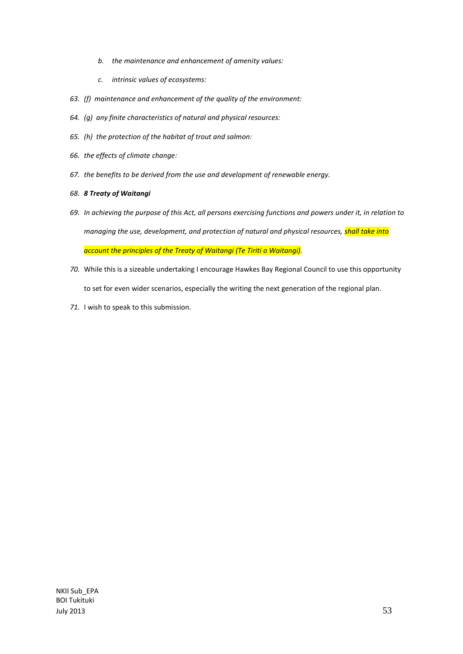- *b. the maintenance and enhancement of amenity values:*
- *c. intrinsic values of ecosystems:*
- *63. (f) maintenance and enhancement of the quality of the environment:*
- *64. (g) any finite characteristics of natural and physical resources:*
- *65. (h) the protection of the habitat of trout and salmon:*
- *66. the effects of climate change:*
- *67. the benefits to be derived from the use and development of renewable energy.*

#### *68. 8 Treaty of Waitangi*

- *69. In achieving the purpose of this Act, all persons exercising functions and powers under it, in relation to managing the use, development, and protection of natural and physical resources, shall take into account the principles of the Treaty of Waitangi (Te Tiriti o Waitangi).*
- *70.* While this is a sizeable undertaking I encourage Hawkes Bay Regional Council to use this opportunity to set for even wider scenarios, especially the writing the next generation of the regional plan.
- *71.* I wish to speak to this submission.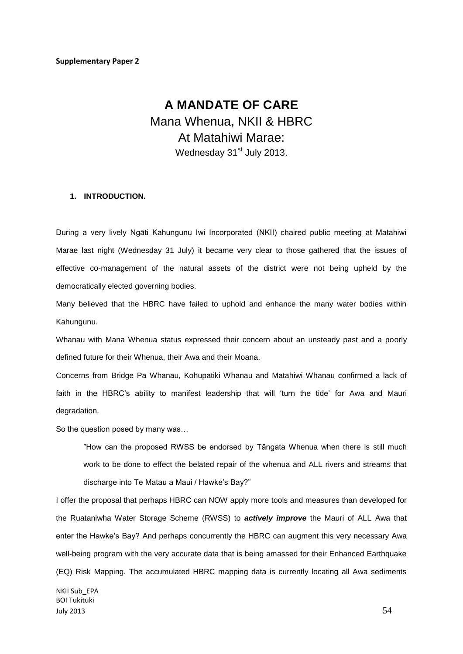# **A MANDATE OF CARE** Mana Whenua, NKII & HBRC At Matahiwi Marae: Wednesday 31<sup>st</sup> July 2013.

#### **1. INTRODUCTION.**

During a very lively Ngāti Kahungunu Iwi Incorporated (NKII) chaired public meeting at Matahiwi Marae last night (Wednesday 31 July) it became very clear to those gathered that the issues of effective co-management of the natural assets of the district were not being upheld by the democratically elected governing bodies.

Many believed that the HBRC have failed to uphold and enhance the many water bodies within Kahungunu.

Whanau with Mana Whenua status expressed their concern about an unsteady past and a poorly defined future for their Whenua, their Awa and their Moana.

Concerns from Bridge Pa Whanau, Kohupatiki Whanau and Matahiwi Whanau confirmed a lack of faith in the HBRC's ability to manifest leadership that will 'turn the tide' for Awa and Mauri degradation.

So the question posed by many was…

"How can the proposed RWSS be endorsed by Tāngata Whenua when there is still much work to be done to effect the belated repair of the whenua and ALL rivers and streams that discharge into Te Matau a Maui / Hawke's Bay?"

I offer the proposal that perhaps HBRC can NOW apply more tools and measures than developed for the Ruataniwha Water Storage Scheme (RWSS) to *actively improve* the Mauri of ALL Awa that enter the Hawke's Bay? And perhaps concurrently the HBRC can augment this very necessary Awa well-being program with the very accurate data that is being amassed for their Enhanced Earthquake (EQ) Risk Mapping. The accumulated HBRC mapping data is currently locating all Awa sediments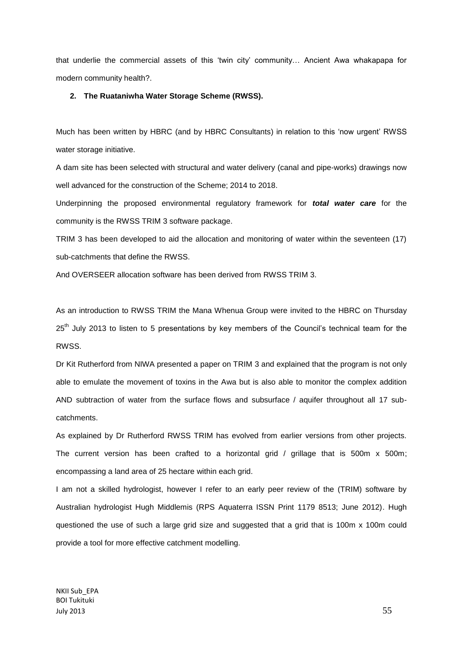that underlie the commercial assets of this 'twin city' community… Ancient Awa whakapapa for modern community health?.

#### **2. The Ruataniwha Water Storage Scheme (RWSS).**

Much has been written by HBRC (and by HBRC Consultants) in relation to this 'now urgent' RWSS water storage initiative.

A dam site has been selected with structural and water delivery (canal and pipe-works) drawings now well advanced for the construction of the Scheme; 2014 to 2018.

Underpinning the proposed environmental regulatory framework for *total water care* for the community is the RWSS TRIM 3 software package.

TRIM 3 has been developed to aid the allocation and monitoring of water within the seventeen (17) sub-catchments that define the RWSS.

And OVERSEER allocation software has been derived from RWSS TRIM 3.

As an introduction to RWSS TRIM the Mana Whenua Group were invited to the HBRC on Thursday 25<sup>th</sup> July 2013 to listen to 5 presentations by key members of the Council's technical team for the RWSS.

Dr Kit Rutherford from NIWA presented a paper on TRIM 3 and explained that the program is not only able to emulate the movement of toxins in the Awa but is also able to monitor the complex addition AND subtraction of water from the surface flows and subsurface / aquifer throughout all 17 subcatchments.

As explained by Dr Rutherford RWSS TRIM has evolved from earlier versions from other projects. The current version has been crafted to a horizontal grid / grillage that is 500m x 500m; encompassing a land area of 25 hectare within each grid.

I am not a skilled hydrologist, however I refer to an early peer review of the (TRIM) software by Australian hydrologist Hugh Middlemis (RPS Aquaterra ISSN Print 1179 8513; June 2012). Hugh questioned the use of such a large grid size and suggested that a grid that is 100m x 100m could provide a tool for more effective catchment modelling.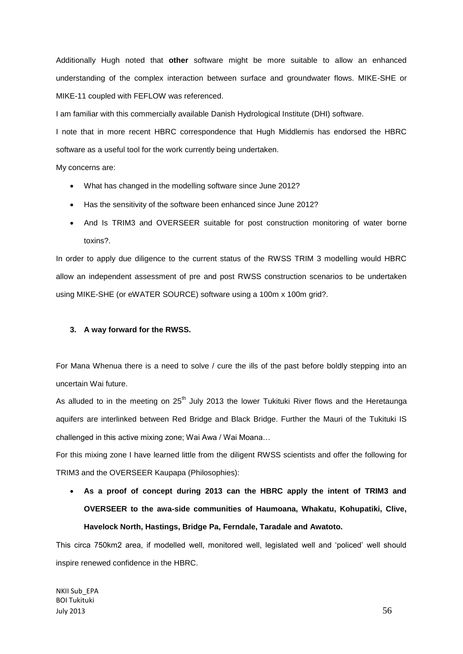Additionally Hugh noted that **other** software might be more suitable to allow an enhanced understanding of the complex interaction between surface and groundwater flows. MIKE-SHE or MIKE-11 coupled with FEFLOW was referenced.

I am familiar with this commercially available Danish Hydrological Institute (DHI) software.

I note that in more recent HBRC correspondence that Hugh Middlemis has endorsed the HBRC software as a useful tool for the work currently being undertaken.

My concerns are:

- What has changed in the modelling software since June 2012?
- Has the sensitivity of the software been enhanced since June 2012?
- And Is TRIM3 and OVERSEER suitable for post construction monitoring of water borne toxins?.

In order to apply due diligence to the current status of the RWSS TRIM 3 modelling would HBRC allow an independent assessment of pre and post RWSS construction scenarios to be undertaken using MIKE-SHE (or eWATER SOURCE) software using a 100m x 100m grid?.

#### **3. A way forward for the RWSS.**

For Mana Whenua there is a need to solve / cure the ills of the past before boldly stepping into an uncertain Wai future.

As alluded to in the meeting on  $25<sup>th</sup>$  July 2013 the lower Tukituki River flows and the Heretaunga aquifers are interlinked between Red Bridge and Black Bridge. Further the Mauri of the Tukituki IS challenged in this active mixing zone; Wai Awa / Wai Moana…

For this mixing zone I have learned little from the diligent RWSS scientists and offer the following for TRIM3 and the OVERSEER Kaupapa (Philosophies):

 **As a proof of concept during 2013 can the HBRC apply the intent of TRIM3 and OVERSEER to the awa-side communities of Haumoana, Whakatu, Kohupatiki, Clive, Havelock North, Hastings, Bridge Pa, Ferndale, Taradale and Awatoto.** 

This circa 750km2 area, if modelled well, monitored well, legislated well and 'policed' well should inspire renewed confidence in the HBRC.